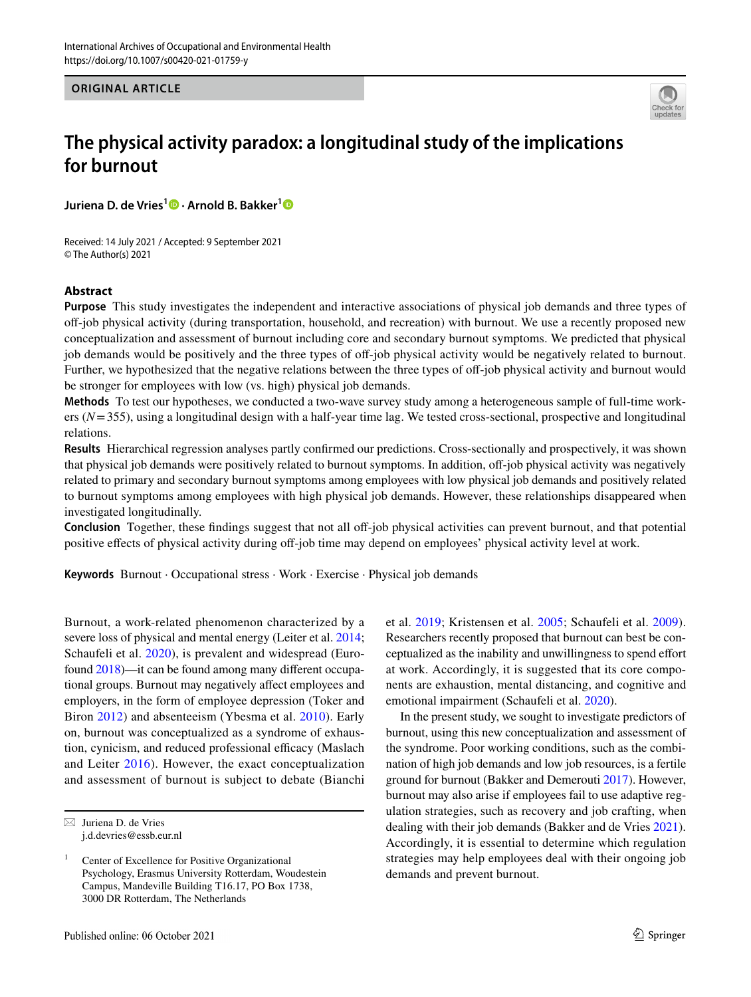**ORIGINAL ARTICLE**



# **The physical activity paradox: a longitudinal study of the implications for burnout**

**JurienaD. de Vries<sup>[1](https://orcid.org/0000-0003-1489-1847)</sup><sup>0</sup> · Arnold B. Bakker<sup>1</sup><sup>0</sup>** 

Received: 14 July 2021 / Accepted: 9 September 2021 © The Author(s) 2021

## **Abstract**

**Purpose** This study investigates the independent and interactive associations of physical job demands and three types of of-job physical activity (during transportation, household, and recreation) with burnout. We use a recently proposed new conceptualization and assessment of burnout including core and secondary burnout symptoms. We predicted that physical job demands would be positively and the three types of off-job physical activity would be negatively related to burnout. Further, we hypothesized that the negative relations between the three types of of-job physical activity and burnout would be stronger for employees with low (vs. high) physical job demands.

**Methods** To test our hypotheses, we conducted a two-wave survey study among a heterogeneous sample of full-time workers (*N*=355), using a longitudinal design with a half-year time lag. We tested cross-sectional, prospective and longitudinal relations.

**Results** Hierarchical regression analyses partly confrmed our predictions. Cross-sectionally and prospectively, it was shown that physical job demands were positively related to burnout symptoms. In addition, off-job physical activity was negatively related to primary and secondary burnout symptoms among employees with low physical job demands and positively related to burnout symptoms among employees with high physical job demands. However, these relationships disappeared when investigated longitudinally.

**Conclusion** Together, these findings suggest that not all off-job physical activities can prevent burnout, and that potential positive effects of physical activity during off-job time may depend on employees' physical activity level at work.

**Keywords** Burnout · Occupational stress · Work · Exercise · Physical job demands

Burnout, a work-related phenomenon characterized by a severe loss of physical and mental energy (Leiter et al. [2014](#page-13-0); Schaufeli et al. [2020\)](#page-14-0), is prevalent and widespread (Eurofound [2018\)](#page-12-0)—it can be found among many diferent occupational groups. Burnout may negatively afect employees and employers, in the form of employee depression (Toker and Biron [2012\)](#page-14-1) and absenteeism (Ybesma et al. [2010](#page-14-2)). Early on, burnout was conceptualized as a syndrome of exhaustion, cynicism, and reduced professional efficacy (Maslach and Leiter [2016](#page-13-1)). However, the exact conceptualization and assessment of burnout is subject to debate (Bianchi et al. [2019](#page-12-1); Kristensen et al. [2005](#page-13-2); Schaufeli et al. [2009](#page-14-3)). Researchers recently proposed that burnout can best be conceptualized as the inability and unwillingness to spend efort at work. Accordingly, it is suggested that its core components are exhaustion, mental distancing, and cognitive and emotional impairment (Schaufeli et al. [2020\)](#page-14-0).

In the present study, we sought to investigate predictors of burnout, using this new conceptualization and assessment of the syndrome. Poor working conditions, such as the combination of high job demands and low job resources, is a fertile ground for burnout (Bakker and Demerouti [2017](#page-12-2)). However, burnout may also arise if employees fail to use adaptive regulation strategies, such as recovery and job crafting, when dealing with their job demands (Bakker and de Vries [2021](#page-12-3)). Accordingly, it is essential to determine which regulation strategies may help employees deal with their ongoing job demands and prevent burnout.

 $\boxtimes$  Juriena D. de Vries j.d.devries@essb.eur.nl

<sup>&</sup>lt;sup>1</sup> Center of Excellence for Positive Organizational Psychology, Erasmus University Rotterdam, Woudestein Campus, Mandeville Building T16.17, PO Box 1738, 3000 DR Rotterdam, The Netherlands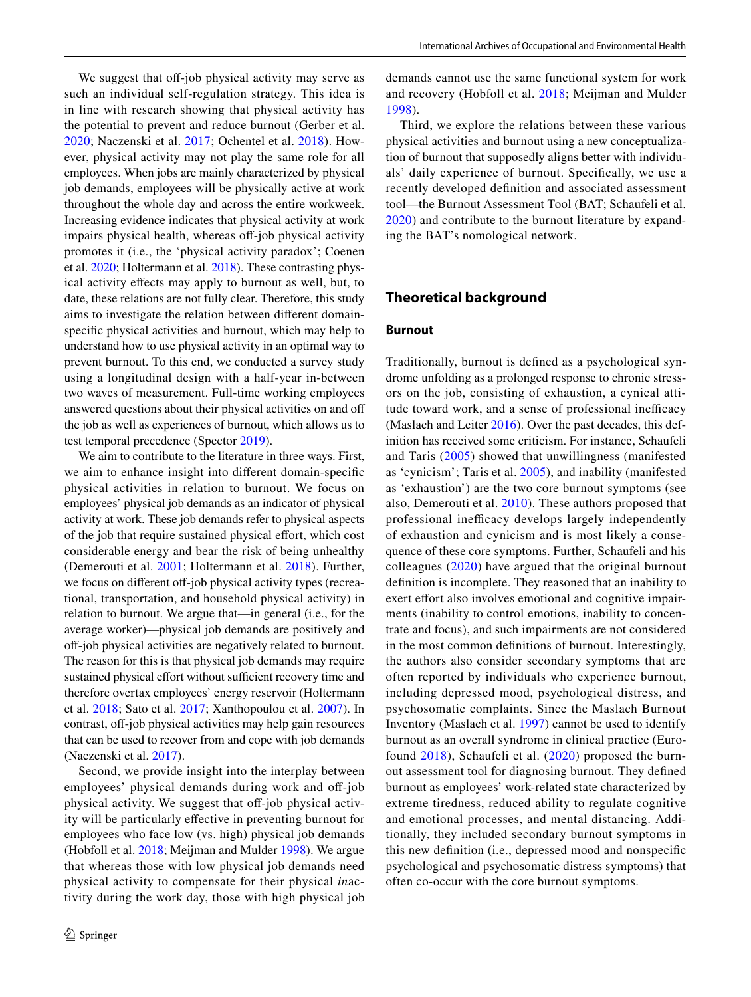We suggest that off-job physical activity may serve as such an individual self-regulation strategy. This idea is in line with research showing that physical activity has the potential to prevent and reduce burnout (Gerber et al. [2020;](#page-13-3) Naczenski et al. [2017](#page-13-4); Ochentel et al. [2018](#page-13-5)). However, physical activity may not play the same role for all employees. When jobs are mainly characterized by physical job demands, employees will be physically active at work throughout the whole day and across the entire workweek. Increasing evidence indicates that physical activity at work impairs physical health, whereas off-job physical activity promotes it (i.e., the 'physical activity paradox'; Coenen et al. [2020;](#page-12-4) Holtermann et al. [2018](#page-13-6)). These contrasting physical activity efects may apply to burnout as well, but, to date, these relations are not fully clear. Therefore, this study aims to investigate the relation between diferent domainspecifc physical activities and burnout, which may help to understand how to use physical activity in an optimal way to prevent burnout. To this end, we conducted a survey study using a longitudinal design with a half-year in-between two waves of measurement. Full-time working employees answered questions about their physical activities on and of the job as well as experiences of burnout, which allows us to test temporal precedence (Spector [2019\)](#page-14-4).

We aim to contribute to the literature in three ways. First, we aim to enhance insight into diferent domain-specifc physical activities in relation to burnout. We focus on employees' physical job demands as an indicator of physical activity at work. These job demands refer to physical aspects of the job that require sustained physical efort, which cost considerable energy and bear the risk of being unhealthy (Demerouti et al. [2001](#page-12-5); Holtermann et al. [2018](#page-13-6)). Further, we focus on different off-job physical activity types (recreational, transportation, and household physical activity) in relation to burnout. We argue that—in general (i.e., for the average worker)—physical job demands are positively and off-job physical activities are negatively related to burnout. The reason for this is that physical job demands may require sustained physical effort without sufficient recovery time and therefore overtax employees' energy reservoir (Holtermann et al. [2018;](#page-13-6) Sato et al. [2017](#page-14-5); Xanthopoulou et al. [2007](#page-14-6)). In contrast, off-job physical activities may help gain resources that can be used to recover from and cope with job demands (Naczenski et al. [2017\)](#page-13-4).

Second, we provide insight into the interplay between employees' physical demands during work and off-job physical activity. We suggest that off-job physical activity will be particularly effective in preventing burnout for employees who face low (vs. high) physical job demands (Hobfoll et al. [2018;](#page-13-7) Meijman and Mulder [1998\)](#page-13-8). We argue that whereas those with low physical job demands need physical activity to compensate for their physical *in*activity during the work day, those with high physical job demands cannot use the same functional system for work and recovery (Hobfoll et al. [2018;](#page-13-7) Meijman and Mulder [1998\)](#page-13-8).

Third, we explore the relations between these various physical activities and burnout using a new conceptualization of burnout that supposedly aligns better with individuals' daily experience of burnout. Specifcally, we use a recently developed defnition and associated assessment tool—the Burnout Assessment Tool (BAT; Schaufeli et al. [2020\)](#page-14-0) and contribute to the burnout literature by expanding the BAT's nomological network.

### **Theoretical background**

#### **Burnout**

Traditionally, burnout is defned as a psychological syndrome unfolding as a prolonged response to chronic stressors on the job, consisting of exhaustion, a cynical attitude toward work, and a sense of professional inefficacy (Maslach and Leiter [2016\)](#page-13-1). Over the past decades, this definition has received some criticism. For instance, Schaufeli and Taris [\(2005](#page-14-7)) showed that unwillingness (manifested as 'cynicism'; Taris et al. [2005](#page-14-8)), and inability (manifested as 'exhaustion') are the two core burnout symptoms (see also, Demerouti et al. [2010\)](#page-12-6). These authors proposed that professional inefficacy develops largely independently of exhaustion and cynicism and is most likely a consequence of these core symptoms. Further, Schaufeli and his colleagues ([2020\)](#page-14-0) have argued that the original burnout defnition is incomplete. They reasoned that an inability to exert effort also involves emotional and cognitive impairments (inability to control emotions, inability to concentrate and focus), and such impairments are not considered in the most common defnitions of burnout. Interestingly, the authors also consider secondary symptoms that are often reported by individuals who experience burnout, including depressed mood, psychological distress, and psychosomatic complaints. Since the Maslach Burnout Inventory (Maslach et al. [1997](#page-13-9)) cannot be used to identify burnout as an overall syndrome in clinical practice (Eurofound [2018\)](#page-12-0), Schaufeli et al. ([2020](#page-14-0)) proposed the burnout assessment tool for diagnosing burnout. They defned burnout as employees' work-related state characterized by extreme tiredness, reduced ability to regulate cognitive and emotional processes, and mental distancing. Additionally, they included secondary burnout symptoms in this new defnition (i.e., depressed mood and nonspecifc psychological and psychosomatic distress symptoms) that often co-occur with the core burnout symptoms.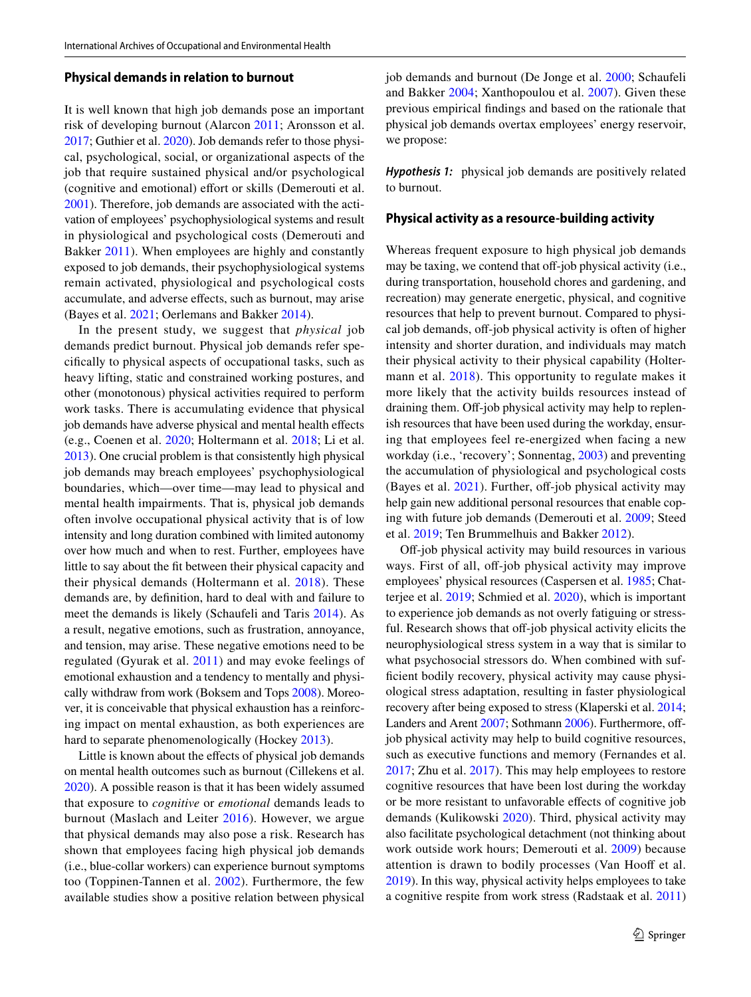#### **Physical demands in relation to burnout**

It is well known that high job demands pose an important risk of developing burnout (Alarcon [2011;](#page-11-0) Aronsson et al. [2017;](#page-11-1) Guthier et al. [2020](#page-13-10)). Job demands refer to those physical, psychological, social, or organizational aspects of the job that require sustained physical and/or psychological (cognitive and emotional) effort or skills (Demerouti et al. [2001](#page-12-5)). Therefore, job demands are associated with the activation of employees' psychophysiological systems and result in physiological and psychological costs (Demerouti and Bakker [2011\)](#page-12-7). When employees are highly and constantly exposed to job demands, their psychophysiological systems remain activated, physiological and psychological costs accumulate, and adverse efects, such as burnout, may arise (Bayes et al. [2021](#page-12-8); Oerlemans and Bakker [2014](#page-13-11)).

In the present study, we suggest that *physical* job demands predict burnout. Physical job demands refer specifcally to physical aspects of occupational tasks, such as heavy lifting, static and constrained working postures, and other (monotonous) physical activities required to perform work tasks. There is accumulating evidence that physical job demands have adverse physical and mental health efects (e.g., Coenen et al. [2020](#page-12-4); Holtermann et al. [2018;](#page-13-6) Li et al. [2013\)](#page-13-12). One crucial problem is that consistently high physical job demands may breach employees' psychophysiological boundaries, which—over time—may lead to physical and mental health impairments. That is, physical job demands often involve occupational physical activity that is of low intensity and long duration combined with limited autonomy over how much and when to rest. Further, employees have little to say about the ft between their physical capacity and their physical demands (Holtermann et al. [2018\)](#page-13-6). These demands are, by defnition, hard to deal with and failure to meet the demands is likely (Schaufeli and Taris [2014\)](#page-14-9). As a result, negative emotions, such as frustration, annoyance, and tension, may arise. These negative emotions need to be regulated (Gyurak et al. [2011\)](#page-13-13) and may evoke feelings of emotional exhaustion and a tendency to mentally and physically withdraw from work (Boksem and Tops [2008](#page-12-9)). Moreover, it is conceivable that physical exhaustion has a reinforcing impact on mental exhaustion, as both experiences are hard to separate phenomenologically (Hockey [2013\)](#page-13-14).

Little is known about the efects of physical job demands on mental health outcomes such as burnout (Cillekens et al. [2020](#page-12-10)). A possible reason is that it has been widely assumed that exposure to *cognitive* or *emotional* demands leads to burnout (Maslach and Leiter [2016\)](#page-13-1). However, we argue that physical demands may also pose a risk. Research has shown that employees facing high physical job demands (i.e., blue-collar workers) can experience burnout symptoms too (Toppinen-Tannen et al. [2002](#page-14-10)). Furthermore, the few available studies show a positive relation between physical job demands and burnout (De Jonge et al. [2000;](#page-12-11) Schaufeli and Bakker [2004](#page-14-11); Xanthopoulou et al. [2007\)](#page-14-6). Given these previous empirical fndings and based on the rationale that physical job demands overtax employees' energy reservoir, we propose:

*Hypothesis 1:* physical job demands are positively related to burnout.

#### **Physical activity as a resource‑building activity**

Whereas frequent exposure to high physical job demands may be taxing, we contend that off-job physical activity (i.e., during transportation, household chores and gardening, and recreation) may generate energetic, physical, and cognitive resources that help to prevent burnout. Compared to physical job demands, off-job physical activity is often of higher intensity and shorter duration, and individuals may match their physical activity to their physical capability (Holter-mann et al. [2018](#page-13-6)). This opportunity to regulate makes it more likely that the activity builds resources instead of draining them. Off-job physical activity may help to replenish resources that have been used during the workday, ensuring that employees feel re-energized when facing a new workday (i.e., 'recovery'; Sonnentag, [2003\)](#page-14-12) and preventing the accumulation of physiological and psychological costs (Bayes et al.  $2021$ ). Further, off-job physical activity may help gain new additional personal resources that enable coping with future job demands (Demerouti et al. [2009](#page-12-12); Steed et al. [2019](#page-14-13); Ten Brummelhuis and Bakker [2012\)](#page-14-14).

Off-job physical activity may build resources in various ways. First of all, off-job physical activity may improve employees' physical resources (Caspersen et al. [1985;](#page-12-13) Chatterjee et al. [2019;](#page-12-14) Schmied et al. [2020\)](#page-14-15), which is important to experience job demands as not overly fatiguing or stressful. Research shows that off-job physical activity elicits the neurophysiological stress system in a way that is similar to what psychosocial stressors do. When combined with suffcient bodily recovery, physical activity may cause physiological stress adaptation, resulting in faster physiological recovery after being exposed to stress (Klaperski et al. [2014](#page-13-15); Landers and Arent [2007;](#page-13-16) Sothmann [2006\)](#page-14-16). Furthermore, offjob physical activity may help to build cognitive resources, such as executive functions and memory (Fernandes et al. [2017](#page-12-15); Zhu et al. [2017\)](#page-14-17). This may help employees to restore cognitive resources that have been lost during the workday or be more resistant to unfavorable efects of cognitive job demands (Kulikowski [2020](#page-13-17)). Third, physical activity may also facilitate psychological detachment (not thinking about work outside work hours; Demerouti et al. [2009](#page-12-12)) because attention is drawn to bodily processes (Van Hooff et al. [2019](#page-14-18)). In this way, physical activity helps employees to take a cognitive respite from work stress (Radstaak et al. [2011\)](#page-14-19)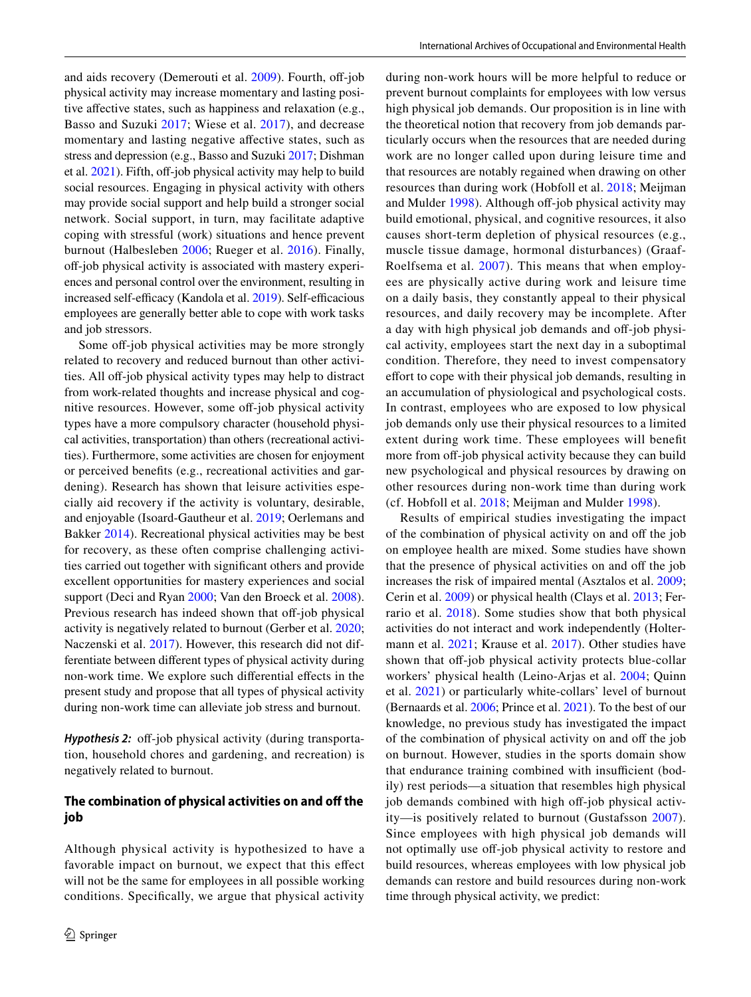and aids recovery (Demerouti et al.  $2009$ ). Fourth, off-job physical activity may increase momentary and lasting positive affective states, such as happiness and relaxation (e.g., Basso and Suzuki [2017](#page-12-16); Wiese et al. [2017\)](#page-14-20), and decrease momentary and lasting negative afective states, such as stress and depression (e.g., Basso and Suzuki [2017;](#page-12-16) Dishman et al.  $2021$ ). Fifth, off-job physical activity may help to build social resources. Engaging in physical activity with others may provide social support and help build a stronger social network. Social support, in turn, may facilitate adaptive coping with stressful (work) situations and hence prevent burnout (Halbesleben [2006](#page-13-18); Rueger et al. [2016\)](#page-14-21). Finally, off-job physical activity is associated with mastery experiences and personal control over the environment, resulting in increased self-efficacy (Kandola et al. [2019\)](#page-13-19). Self-efficacious employees are generally better able to cope with work tasks and job stressors.

Some off-job physical activities may be more strongly related to recovery and reduced burnout than other activities. All off-job physical activity types may help to distract from work-related thoughts and increase physical and cognitive resources. However, some off-job physical activity types have a more compulsory character (household physical activities, transportation) than others (recreational activities). Furthermore, some activities are chosen for enjoyment or perceived benefts (e.g., recreational activities and gardening). Research has shown that leisure activities especially aid recovery if the activity is voluntary, desirable, and enjoyable (Isoard-Gautheur et al. [2019](#page-13-20); Oerlemans and Bakker [2014](#page-13-11)). Recreational physical activities may be best for recovery, as these often comprise challenging activities carried out together with signifcant others and provide excellent opportunities for mastery experiences and social support (Deci and Ryan [2000](#page-12-18); Van den Broeck et al. [2008](#page-14-22)). Previous research has indeed shown that off-job physical activity is negatively related to burnout (Gerber et al. [2020](#page-13-3); Naczenski et al. [2017\)](#page-13-4). However, this research did not differentiate between diferent types of physical activity during non-work time. We explore such diferential efects in the present study and propose that all types of physical activity during non-work time can alleviate job stress and burnout.

*Hypothesis 2:* off-job physical activity (during transportation, household chores and gardening, and recreation) is negatively related to burnout.

#### **The combination of physical activities on and off the job**

Although physical activity is hypothesized to have a favorable impact on burnout, we expect that this effect will not be the same for employees in all possible working conditions. Specifcally, we argue that physical activity

during non-work hours will be more helpful to reduce or prevent burnout complaints for employees with low versus high physical job demands. Our proposition is in line with the theoretical notion that recovery from job demands particularly occurs when the resources that are needed during work are no longer called upon during leisure time and that resources are notably regained when drawing on other resources than during work (Hobfoll et al. [2018](#page-13-7); Meijman and Mulder [1998\)](#page-13-8). Although off-job physical activity may build emotional, physical, and cognitive resources, it also causes short-term depletion of physical resources (e.g., muscle tissue damage, hormonal disturbances) (Graaf-Roelfsema et al. [2007](#page-13-21)). This means that when employees are physically active during work and leisure time on a daily basis, they constantly appeal to their physical resources, and daily recovery may be incomplete. After a day with high physical job demands and off-job physical activity, employees start the next day in a suboptimal condition. Therefore, they need to invest compensatory effort to cope with their physical job demands, resulting in an accumulation of physiological and psychological costs. In contrast, employees who are exposed to low physical job demands only use their physical resources to a limited extent during work time. These employees will beneft more from off-job physical activity because they can build new psychological and physical resources by drawing on other resources during non-work time than during work (cf. Hobfoll et al. [2018](#page-13-7); Meijman and Mulder [1998](#page-13-8)).

Results of empirical studies investigating the impact of the combination of physical activity on and off the job on employee health are mixed. Some studies have shown that the presence of physical activities on and off the job increases the risk of impaired mental (Asztalos et al. [2009](#page-12-19); Cerin et al. [2009](#page-12-20)) or physical health (Clays et al. [2013;](#page-12-21) Ferrario et al. [2018\)](#page-12-22). Some studies show that both physical activities do not interact and work independently (Holtermann et al. [2021;](#page-13-22) Krause et al. [2017](#page-13-23)). Other studies have shown that off-job physical activity protects blue-collar workers' physical health (Leino-Arjas et al. [2004;](#page-13-24) Quinn et al. [2021\)](#page-14-23) or particularly white-collars' level of burnout (Bernaards et al. [2006](#page-12-23); Prince et al. [2021\)](#page-14-24). To the best of our knowledge, no previous study has investigated the impact of the combination of physical activity on and off the job on burnout. However, studies in the sports domain show that endurance training combined with insufficient (bodily) rest periods—a situation that resembles high physical job demands combined with high off-job physical activity—is positively related to burnout (Gustafsson [2007](#page-13-25)). Since employees with high physical job demands will not optimally use off-job physical activity to restore and build resources, whereas employees with low physical job demands can restore and build resources during non-work time through physical activity, we predict: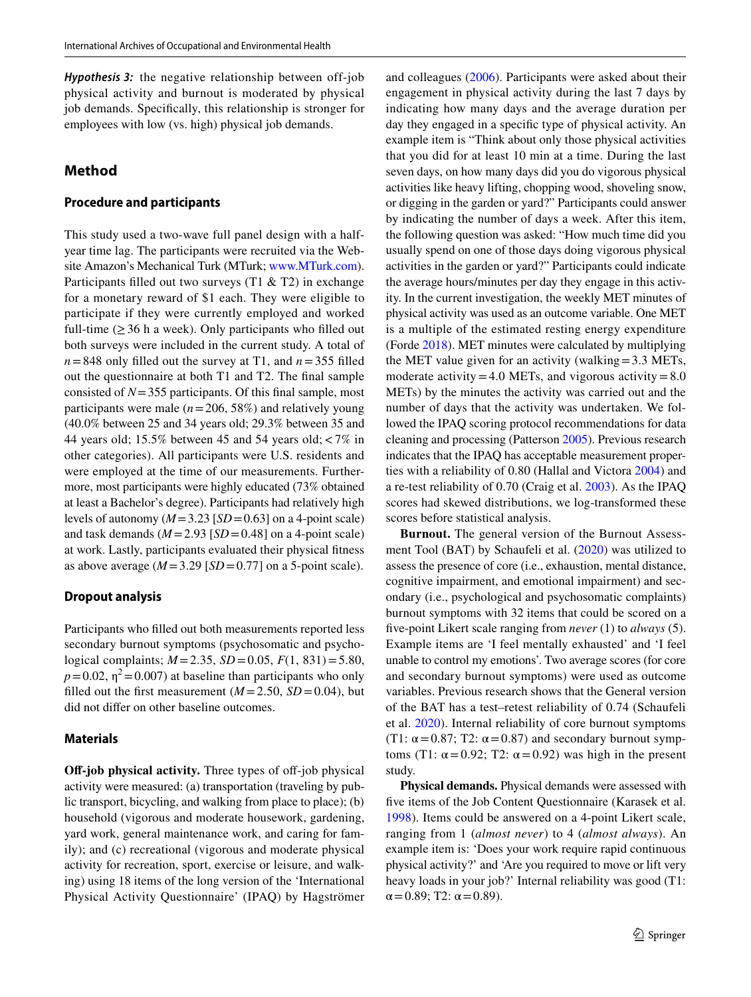*Hypothesis 3:* the negative relationship between off-job physical activity and burnout is moderated by physical job demands. Specifcally, this relationship is stronger for employees with low (vs. high) physical job demands.

## **Method**

#### **Procedure and participants**

This study used a two-wave full panel design with a halfyear time lag. The participants were recruited via the Website Amazon's Mechanical Turk (MTurk; [www.MTurk.com](http://www.MTurk.com)). Participants filled out two surveys  $(T1 & 2)$  in exchange for a monetary reward of \$1 each. They were eligible to participate if they were currently employed and worked full-time  $(\geq 36$  h a week). Only participants who filled out both surveys were included in the current study. A total of  $n = 848$  only filled out the survey at T1, and  $n = 355$  filled out the questionnaire at both T1 and T2. The fnal sample consisted of *N*=355 participants. Of this fnal sample, most participants were male  $(n=206, 58\%)$  and relatively young (40.0% between 25 and 34 years old; 29.3% between 35 and 44 years old; 15.5% between 45 and 54 years old;<7% in other categories). All participants were U.S. residents and were employed at the time of our measurements. Furthermore, most participants were highly educated (73% obtained at least a Bachelor's degree). Participants had relatively high levels of autonomy  $(M=3.23$  [*SD* = 0.63] on a 4-point scale) and task demands  $(M=2.93$  [*SD* = 0.48] on a 4-point scale) at work. Lastly, participants evaluated their physical ftness as above average  $(M=3.29$  [*SD* = 0.77] on a 5-point scale).

#### **Dropout analysis**

Participants who flled out both measurements reported less secondary burnout symptoms (psychosomatic and psychological complaints; *M* =2.35, *SD* =0.05, *F*(1, 831)=5.80,  $p=0.02$ ,  $\eta^2=0.007$ ) at baseline than participants who only filled out the first measurement  $(M = 2.50, SD = 0.04)$ , but did not difer on other baseline outcomes.

### **Materials**

**Off-job physical activity.** Three types of off-job physical activity were measured: (a) transportation (traveling by public transport, bicycling, and walking from place to place); (b) household (vigorous and moderate housework, gardening, yard work, general maintenance work, and caring for family); and (c) recreational (vigorous and moderate physical activity for recreation, sport, exercise or leisure, and walking) using 18 items of the long version of the 'International Physical Activity Questionnaire' (IPAQ) by Hagströmer and colleagues ([2006\)](#page-13-26). Participants were asked about their engagement in physical activity during the last 7 days by indicating how many days and the average duration per day they engaged in a specifc type of physical activity. An example item is "Think about only those physical activities that you did for at least 10 min at a time. During the last seven days, on how many days did you do vigorous physical activities like heavy lifting, chopping wood, shoveling snow, or digging in the garden or yard?" Participants could answer by indicating the number of days a week. After this item, the following question was asked: "How much time did you usually spend on one of those days doing vigorous physical activities in the garden or yard?" Participants could indicate the average hours/minutes per day they engage in this activity. In the current investigation, the weekly MET minutes of physical activity was used as an outcome variable. One MET is a multiple of the estimated resting energy expenditure (Forde [2018](#page-13-27)). MET minutes were calculated by multiplying the MET value given for an activity (walking=3.3 METs, moderate activity=4.0 METs, and vigorous activity= $8.0$ METs) by the minutes the activity was carried out and the number of days that the activity was undertaken. We followed the IPAQ scoring protocol recommendations for data cleaning and processing (Patterson [2005](#page-14-25)). Previous research indicates that the IPAQ has acceptable measurement properties with a reliability of 0.80 (Hallal and Victora [2004\)](#page-13-28) and a re-test reliability of 0.70 (Craig et al. [2003\)](#page-12-24). As the IPAQ scores had skewed distributions, we log-transformed these scores before statistical analysis.

**Burnout.** The general version of the Burnout Assessment Tool (BAT) by Schaufeli et al. ([2020\)](#page-14-0) was utilized to assess the presence of core (i.e., exhaustion, mental distance, cognitive impairment, and emotional impairment) and secondary (i.e., psychological and psychosomatic complaints) burnout symptoms with 32 items that could be scored on a fve-point Likert scale ranging from *never* (1) to *always* (5). Example items are 'I feel mentally exhausted' and 'I feel unable to control my emotions'. Two average scores (for core and secondary burnout symptoms) were used as outcome variables. Previous research shows that the General version of the BAT has a test–retest reliability of 0.74 (Schaufeli et al. [2020\)](#page-14-0). Internal reliability of core burnout symptoms (T1:  $\alpha$  = 0.87; T2:  $\alpha$  = 0.87) and secondary burnout symptoms (T1:  $\alpha$  = 0.92; T2:  $\alpha$  = 0.92) was high in the present study.

**Physical demands.** Physical demands were assessed with fve items of the Job Content Questionnaire (Karasek et al. [1998\)](#page-13-29). Items could be answered on a 4-point Likert scale, ranging from 1 (*almost never*) to 4 (*almost always*). An example item is: 'Does your work require rapid continuous physical activity?' and 'Are you required to move or lift very heavy loads in your job?' Internal reliability was good (T1:  $\alpha$  = 0.89; T2:  $\alpha$  = 0.89).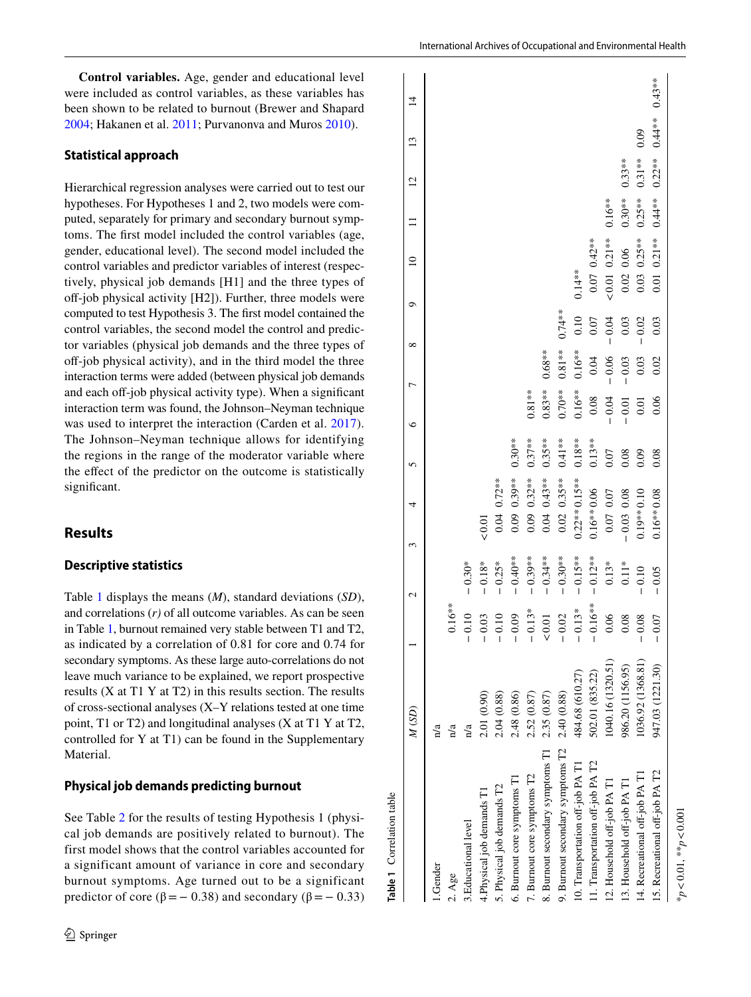**Control variables.** Age, gender and educational level were included as control variables, as these variables has been shown to be related to burnout (Brewer and Shapard [2004](#page-12-25); Hakanen et al. [2011;](#page-13-30) Purvanonva and Muros [2010](#page-14-26)).

#### **Statistical approach**

Hierarchical regression analyses were carried out to test our hypotheses. For Hypotheses 1 and 2, two models were computed, separately for primary and secondary burnout symptoms. The frst model included the control variables (age, gender, educational level). The second model included the control variables and predictor variables of interest (respectively, physical job demands [H1] and the three types of off-job physical activity [H2]). Further, three models were computed to test Hypothesis 3. The frst model contained the control variables, the second model the control and predictor variables (physical job demands and the three types of off-job physical activity), and in the third model the three interaction terms were added (between physical job demands and each off-job physical activity type). When a significant interaction term was found, the Johnson–Neyman technique was used to interpret the interaction (Carden et al. [2017](#page-12-26)). The Johnson–Neyman technique allows for identifying the regions in the range of the moderator variable where the efect of the predictor on the outcome is statistically significant.

## **Results**

#### **Descriptive statistics**

Table [1](#page-5-0) displays the means (*M*), standard deviations (*SD*), and correlations (*r)* of all outcome variables. As can be seen in Table [1](#page-5-0), burnout remained very stable between T1 and T2, as indicated by a correlation of 0.81 for core and 0.74 for secondary symptoms. As these large auto-correlations do not leave much variance to be explained, we report prospective results (X at T1 Y at T2) in this results section. The results of cross-sectional analyses (X–Y relations tested at one time point, T1 or T2) and longitudinal analyses (X at T1 Y at T2, controlled for Y at T1) can be found in the Supplementary Material.

### **Physical job demands predicting burnout**

<span id="page-5-0"></span>See Table [2](#page-6-0) for the results of testing Hypothesis 1 (physical job demands are positively related to burnout). The first model shows that the control variables accounted for a significant amount of variance in core and secondary burnout symptoms. Age turned out to be a significant predictor of core ( $β = 0.38$ ) and secondary ( $β = 0.33$ )

| Table 1 Correlation table        |                           |            |            |                  |           |           |           |           |                  |           |                |          |           |
|----------------------------------|---------------------------|------------|------------|------------------|-----------|-----------|-----------|-----------|------------------|-----------|----------------|----------|-----------|
|                                  | M (SD)                    |            | 2          | 4<br>3           | 5         | ७         |           | ᡋ<br>∞    | $\subseteq$      |           | $\overline{2}$ | 13       | $\vec{4}$ |
| Gender                           | $\overline{\mathbf{n}}$ a |            |            |                  |           |           |           |           |                  |           |                |          |           |
| 2. Age                           | n/a                       | $0.16***$  |            |                  |           |           |           |           |                  |           |                |          |           |
| 3. Educational level             | n/a                       | $-0.10$    | $-0.30*$   |                  |           |           |           |           |                  |           |                |          |           |
| 4. Physical job demands T1       | 2.01 (0.90)               | $-0.03$    | $-0.18*$   | 0.01             |           |           |           |           |                  |           |                |          |           |
| 5. Physical job demands T2       | 2.04 (0.88)               | $-0.10$    | $-0.25*$   | $0.04$ $0.72***$ |           |           |           |           |                  |           |                |          |           |
| 6. Burnout core symptoms T1      | 2.48 (0.86)               | $-0.09$    | $-0.40**$  | $0.09$ $0.39***$ | $0.30**$  |           |           |           |                  |           |                |          |           |
| 7. Burnout core symptoms T2      | 2.52 (0.87)               | $-0.13*$   | $-0.39***$ | $0.09$ $0.32***$ | $0.37**$  | $0.81***$ |           |           |                  |           |                |          |           |
| 8. Burnout secondary symptoms T1 | 2.35 (0.87)               | 0.01       | $-0.34***$ | $0.04$ $0.43***$ | $0.35**$  | $0.83**$  | $0.68**$  |           |                  |           |                |          |           |
| 9. Burnout secondary symptoms T2 | 2.40 (0.88)               | $-0.02$    | $-0.30**$  | $0.02$ $0.35***$ | $0.41**$  | $0.70**$  | $0.81**$  | $0.74***$ |                  |           |                |          |           |
| 10. Transportation off-job PA T1 | 484.68 (610.27)           | $-0.13*$   | $-0.15**$  | $0.22***0.15***$ | $0.18***$ | $0.16***$ | $0.16***$ | 0.10      | $0.14***$        |           |                |          |           |
| 1. Transportation off-job PA T2  | 502.01 (835.22)           | $-0.16***$ | $-0.12**$  | $0.16***0.06$    | $0.13**$  | $0.08\,$  | 0.04      | $0.07\,$  | $0.07$ $0.42**$  |           |                |          |           |
| 2. Household off-job PA T1       | 1040.16 (1320.51)         | 0.06       | $0.13*$    | $0.07$ 0.07      | 0.07      | $-0.04$   | $-0.06$   | $-0.04$   | $< 0.01$ 0.21 ** | $0.16***$ |                |          |           |
| 3. Household off-job PA T1       | 986.20 (1156.95)          | 0.08       | $0.11*$    | $-0.03$ 0.08     | 0.08      | $-0.01$   | $-0.03$   | 0.03      | 0.06<br>0.02     | $0.30**$  | $0.33**$       |          |           |
| 4. Recreational off-job PA T1    | 1036.92 (1368.81)         | $-0.08$    | $-0.10$    | $0.19**0.10$     | 0.09      | 0.01      | 0.03      | 0.02      | $0.25**$<br>0.03 | $0.25**$  | $0.31**$       | 0.09     |           |
| 15. Recreational off-job PA T2   | 947.03 (1221.30)          | 0.07<br>I  | $-0.05$    | $0.16**0.08$     | 0.08      | 0.06      | 0.02      | 0.03      | $0.01$ $0.21**$  | $0.44**$  | $0.22**$       | $0.44**$ | $0.43**$  |
| $*p < 0.01$ , $*p < 0.001$       |                           |            |            |                  |           |           |           |           |                  |           |                |          |           |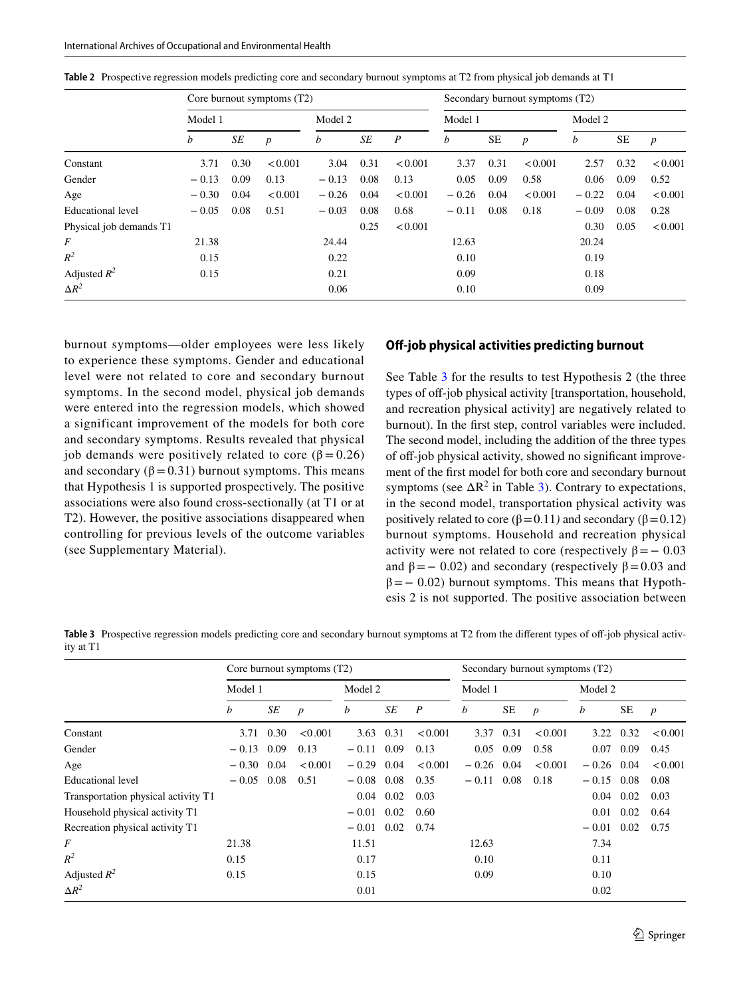|                         |         |      | Core burnout symptoms (T2) |         |      |                  |         |           | Secondary burnout symptoms (T2) |         |           |                  |
|-------------------------|---------|------|----------------------------|---------|------|------------------|---------|-----------|---------------------------------|---------|-----------|------------------|
|                         | Model 1 |      |                            | Model 2 |      |                  | Model 1 |           |                                 | Model 2 |           |                  |
|                         | b       | SE   | $\boldsymbol{p}$           | b       | SE   | $\boldsymbol{P}$ | b       | <b>SE</b> | $\boldsymbol{p}$                | b       | <b>SE</b> | $\boldsymbol{p}$ |
| Constant                | 3.71    | 0.30 | < 0.001                    | 3.04    | 0.31 | < 0.001          | 3.37    | 0.31      | < 0.001                         | 2.57    | 0.32      | < 0.001          |
| Gender                  | $-0.13$ | 0.09 | 0.13                       | $-0.13$ | 0.08 | 0.13             | 0.05    | 0.09      | 0.58                            | 0.06    | 0.09      | 0.52             |
| Age                     | $-0.30$ | 0.04 | < 0.001                    | $-0.26$ | 0.04 | < 0.001          | $-0.26$ | 0.04      | < 0.001                         | $-0.22$ | 0.04      | < 0.001          |
| Educational level       | $-0.05$ | 0.08 | 0.51                       | $-0.03$ | 0.08 | 0.68             | $-0.11$ | 0.08      | 0.18                            | $-0.09$ | 0.08      | 0.28             |
| Physical job demands T1 |         |      |                            |         | 0.25 | < 0.001          |         |           |                                 | 0.30    | 0.05      | < 0.001          |
| $\overline{F}$          | 21.38   |      |                            | 24.44   |      |                  | 12.63   |           |                                 | 20.24   |           |                  |
| $R^2$                   | 0.15    |      |                            | 0.22    |      |                  | 0.10    |           |                                 | 0.19    |           |                  |
| Adjusted $R^2$          | 0.15    |      |                            | 0.21    |      |                  | 0.09    |           |                                 | 0.18    |           |                  |
| $\Delta R^2$            |         |      |                            | 0.06    |      |                  | 0.10    |           |                                 | 0.09    |           |                  |

<span id="page-6-0"></span>**Table 2** Prospective regression models predicting core and secondary burnout symptoms at T2 from physical job demands at T1

burnout symptoms—older employees were less likely to experience these symptoms. Gender and educational level were not related to core and secondary burnout symptoms. In the second model, physical job demands were entered into the regression models, which showed a significant improvement of the models for both core and secondary symptoms. Results revealed that physical job demands were positively related to core ( $β = 0.26$ ) and secondary ( $\beta$  = 0.31) burnout symptoms. This means that Hypothesis 1 is supported prospectively. The positive associations were also found cross-sectionally (at T1 or at T2). However, the positive associations disappeared when controlling for previous levels of the outcome variables (see Supplementary Material).

#### **Off-job physical activities predicting burnout**

See Table [3](#page-6-1) for the results to test Hypothesis 2 (the three types of off-job physical activity [transportation, household, and recreation physical activity] are negatively related to burnout). In the frst step, control variables were included. The second model, including the addition of the three types of off-job physical activity, showed no significant improvement of the frst model for both core and secondary burnout symptoms (see  $\Delta R^2$  in Table [3\)](#page-6-1). Contrary to expectations, in the second model, transportation physical activity was positively related to core ( $β = 0.11$ *)* and secondary ( $β = 0.12$ ) burnout symptoms. Household and recreation physical activity were not related to core (respectively  $\beta = -0.03$ ) and  $\beta$  = − 0.02) and secondary (respectively  $\beta$  = 0.03 and  $\beta$ = − 0.02) burnout symptoms. This means that Hypothesis 2 is not supported. The positive association between

<span id="page-6-1"></span>**Table 3** Prospective regression models predicting core and secondary burnout symptoms at T2 from the different types of off-job physical activity at T1

|                                     |         |      | Core burnout symptoms (T2) |         |      |                  |         |      | Secondary burnout symptoms (T2) |         |           |                  |
|-------------------------------------|---------|------|----------------------------|---------|------|------------------|---------|------|---------------------------------|---------|-----------|------------------|
|                                     | Model 1 |      |                            | Model 2 |      |                  | Model 1 |      |                                 | Model 2 |           |                  |
|                                     | b       | SE   | $\boldsymbol{p}$           | b       | SE   | $\boldsymbol{P}$ | b       | SE   | $\boldsymbol{p}$                | b       | <b>SE</b> | $\boldsymbol{p}$ |
| Constant                            | 3.71    | 0.30 | < 0.001                    | 3.63    | 0.31 | < 0.001          | 3.37    | 0.31 | < 0.001                         | 3.22    | 0.32      | < 0.001          |
| Gender                              | $-0.13$ | 0.09 | 0.13                       | $-0.11$ | 0.09 | 0.13             | 0.05    | 0.09 | 0.58                            | 0.07    | 0.09      | 0.45             |
| Age                                 | $-0.30$ | 0.04 | < 0.001                    | $-0.29$ | 0.04 | < 0.001          | $-0.26$ | 0.04 | < 0.001                         | $-0.26$ | 0.04      | < 0.001          |
| Educational level                   | $-0.05$ | 0.08 | 0.51                       | $-0.08$ | 0.08 | 0.35             | $-0.11$ | 0.08 | 0.18                            | $-0.15$ | 0.08      | 0.08             |
| Transportation physical activity T1 |         |      |                            | 0.04    | 0.02 | 0.03             |         |      |                                 | 0.04    | 0.02      | 0.03             |
| Household physical activity T1      |         |      |                            | $-0.01$ | 0.02 | 0.60             |         |      |                                 | 0.01    | 0.02      | 0.64             |
| Recreation physical activity T1     |         |      |                            | $-0.01$ | 0.02 | 0.74             |         |      |                                 | $-0.01$ | 0.02      | 0.75             |
| F                                   | 21.38   |      |                            | 11.51   |      |                  | 12.63   |      |                                 | 7.34    |           |                  |
| $R^2$                               | 0.15    |      |                            | 0.17    |      |                  | 0.10    |      |                                 | 0.11    |           |                  |
| Adjusted $R^2$                      | 0.15    |      |                            | 0.15    |      |                  | 0.09    |      |                                 | 0.10    |           |                  |
| $\Delta R^2$                        |         |      |                            | 0.01    |      |                  |         |      |                                 | 0.02    |           |                  |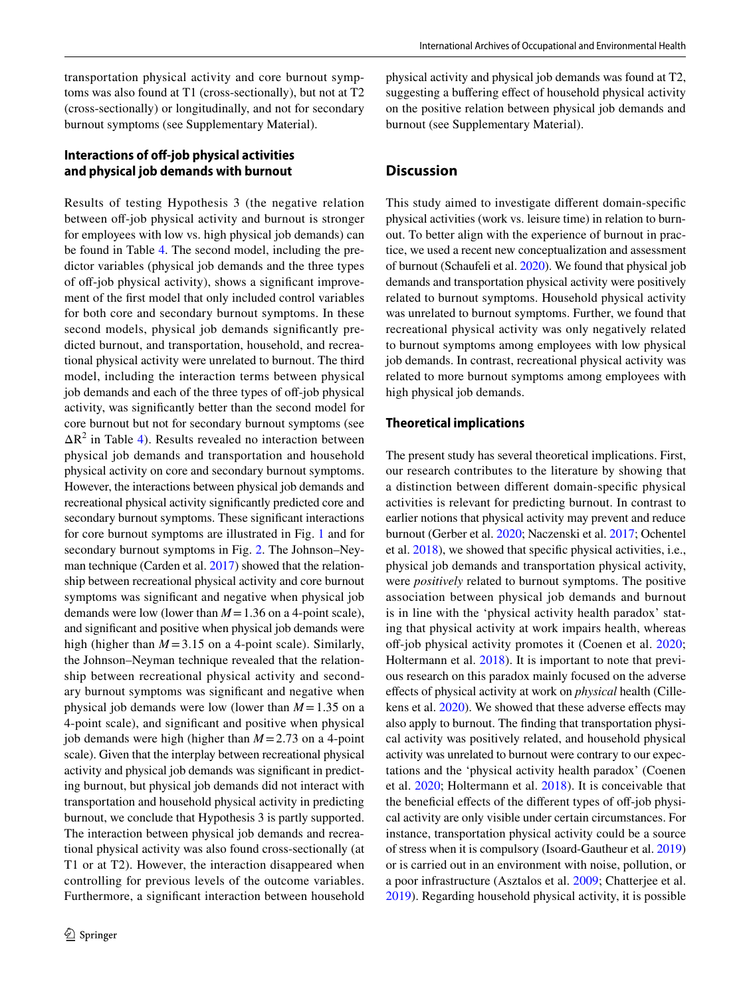transportation physical activity and core burnout symptoms was also found at T1 (cross-sectionally), but not at T2 (cross-sectionally) or longitudinally, and not for secondary burnout symptoms (see Supplementary Material).

# **Interactions of off-job physical activities and physical job demands with burnout**

Results of testing Hypothesis 3 (the negative relation between off-job physical activity and burnout is stronger for employees with low vs. high physical job demands) can be found in Table [4.](#page-8-0) The second model, including the predictor variables (physical job demands and the three types of off-job physical activity), shows a significant improvement of the frst model that only included control variables for both core and secondary burnout symptoms. In these second models, physical job demands signifcantly predicted burnout, and transportation, household, and recreational physical activity were unrelated to burnout. The third model, including the interaction terms between physical job demands and each of the three types of off-job physical activity, was signifcantly better than the second model for core burnout but not for secondary burnout symptoms (see  $\Delta R^2$  in Table [4](#page-8-0)). Results revealed no interaction between physical job demands and transportation and household physical activity on core and secondary burnout symptoms. However, the interactions between physical job demands and recreational physical activity signifcantly predicted core and secondary burnout symptoms. These signifcant interactions for core burnout symptoms are illustrated in Fig. [1](#page-9-0) and for secondary burnout symptoms in Fig. [2.](#page-9-1) The Johnson–Neyman technique (Carden et al. [2017](#page-12-26)) showed that the relationship between recreational physical activity and core burnout symptoms was signifcant and negative when physical job demands were low (lower than *M*=1.36 on a 4-point scale), and signifcant and positive when physical job demands were high (higher than  $M = 3.15$  on a 4-point scale). Similarly, the Johnson–Neyman technique revealed that the relationship between recreational physical activity and secondary burnout symptoms was signifcant and negative when physical job demands were low (lower than  $M = 1.35$  on a 4-point scale), and signifcant and positive when physical job demands were high (higher than *M*=2.73 on a 4-point scale). Given that the interplay between recreational physical activity and physical job demands was signifcant in predicting burnout, but physical job demands did not interact with transportation and household physical activity in predicting burnout, we conclude that Hypothesis 3 is partly supported. The interaction between physical job demands and recreational physical activity was also found cross-sectionally (at T1 or at T2). However, the interaction disappeared when controlling for previous levels of the outcome variables. Furthermore, a signifcant interaction between household

physical activity and physical job demands was found at T2, suggesting a bufering efect of household physical activity on the positive relation between physical job demands and burnout (see Supplementary Material).

# **Discussion**

This study aimed to investigate diferent domain-specifc physical activities (work vs. leisure time) in relation to burnout. To better align with the experience of burnout in practice, we used a recent new conceptualization and assessment of burnout (Schaufeli et al. [2020](#page-14-0)). We found that physical job demands and transportation physical activity were positively related to burnout symptoms. Household physical activity was unrelated to burnout symptoms. Further, we found that recreational physical activity was only negatively related to burnout symptoms among employees with low physical job demands. In contrast, recreational physical activity was related to more burnout symptoms among employees with high physical job demands.

## **Theoretical implications**

The present study has several theoretical implications. First, our research contributes to the literature by showing that a distinction between diferent domain-specifc physical activities is relevant for predicting burnout. In contrast to earlier notions that physical activity may prevent and reduce burnout (Gerber et al. [2020;](#page-13-3) Naczenski et al. [2017](#page-13-4); Ochentel et al. [2018\)](#page-13-5), we showed that specifc physical activities, i.e., physical job demands and transportation physical activity, were *positively* related to burnout symptoms. The positive association between physical job demands and burnout is in line with the 'physical activity health paradox' stating that physical activity at work impairs health, whereas off-job physical activity promotes it (Coenen et al. [2020](#page-12-4); Holtermann et al. [2018\)](#page-13-6). It is important to note that previous research on this paradox mainly focused on the adverse efects of physical activity at work on *physical* health (Cille-kens et al. [2020\)](#page-12-10). We showed that these adverse effects may also apply to burnout. The fnding that transportation physical activity was positively related, and household physical activity was unrelated to burnout were contrary to our expectations and the 'physical activity health paradox' (Coenen et al. [2020](#page-12-4); Holtermann et al. [2018\)](#page-13-6). It is conceivable that the beneficial effects of the different types of off-job physical activity are only visible under certain circumstances. For instance, transportation physical activity could be a source of stress when it is compulsory (Isoard-Gautheur et al. [2019\)](#page-13-20) or is carried out in an environment with noise, pollution, or a poor infrastructure (Asztalos et al. [2009;](#page-12-19) Chatterjee et al. [2019](#page-12-14)). Regarding household physical activity, it is possible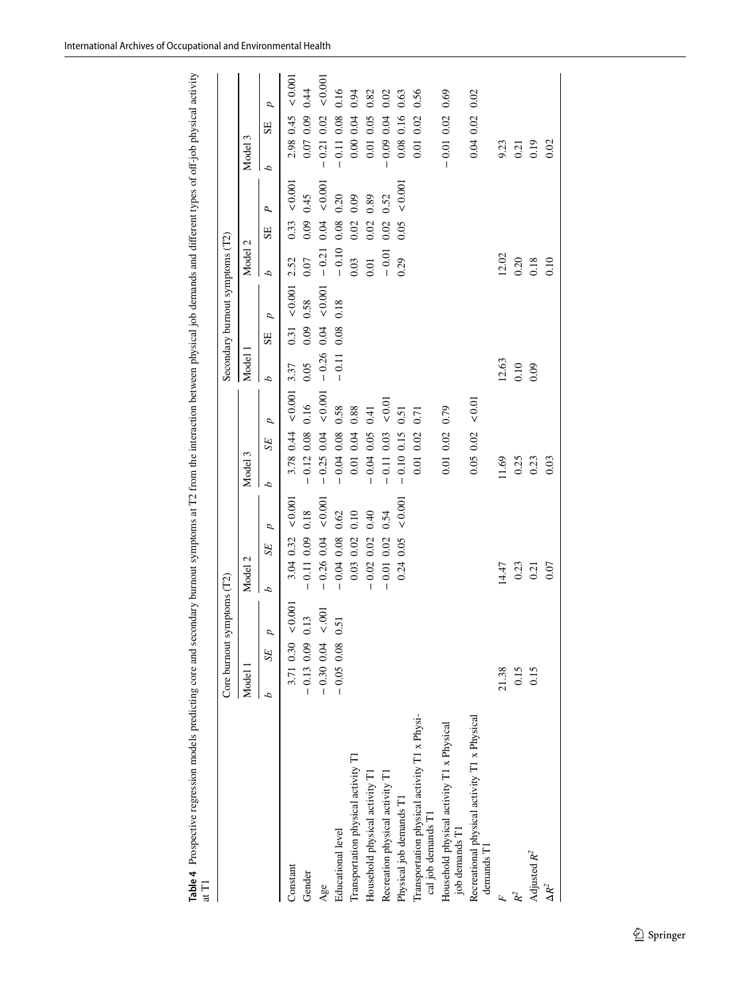| International Archives of Occupational and Environmental Health |
|-----------------------------------------------------------------|
|-----------------------------------------------------------------|

|                                                                    | Core burnout symptoms (T2) |                          |                     |              |         | Secondary burnout symptoms (T2) |         |                     |      |       |              |       |  |
|--------------------------------------------------------------------|----------------------------|--------------------------|---------------------|--------------|---------|---------------------------------|---------|---------------------|------|-------|--------------|-------|--|
|                                                                    | Model 1                    | Model 2                  | Model 3             |              | Model 1 |                                 |         | Model 2             |      |       | Model 3      |       |  |
|                                                                    | D<br>SE <sub></sub>        | p<br>SE <sub></sub><br>d | SE <sub></sub><br>d | p            | d       | p<br>SE                         |         | d                   | SE   | P,    | SE<br>d      | p     |  |
| Constant                                                           | < 0.001<br>3.71 0.30       | 0.001<br>3.04 0.32       | 3.78 0.44           | ${}_{0.001}$ | 3.37    | 0.31                            | < 0.001 | 2.52                | 0.33 | 0.001 | 2.98 0.45    | 0.001 |  |
| Gender                                                             | 0.13<br>$-0.13$ 0.09       | 0.18<br>$-0.11$ 0.09     | $-0.12\ 0.08$       | 0.16         | 0.05    | 0.09                            | 0.58    | 0.07                | 0.09 | 0.45  | 0.07 0.09    | 0.44  |  |
| Age                                                                | < .001<br>$-0.30$ 0.04     | 0.001<br>$-0.26$ 0.04    | $-0.25$ 0.04        | ${}_{0.001}$ | $-0.26$ | 0.04                            | 0.001   | $-0.21$             | 0.04 | 0.001 | $-0.21$ 0.02 | 0.001 |  |
| Educational level                                                  | 0.51<br>$-0.05$ 0.08       | 0.62<br>$-0.04$ 0.08     | $-0.04008$          | 0.58         | $-0.11$ | 0.08                            | 0.18    | $-0.10$             | 0.08 | 0.20  | $-0.11$ 0.08 | 0.16  |  |
| Transportation physical activity T1                                |                            | 0.10<br>$0.03$ $0.02$    | 0.01 0.04           | 0.88         |         |                                 |         | 0.03                | 0.02 | 0.09  | 0.00 0.04    | 0.94  |  |
| Household physical activity T1                                     |                            | 0.40<br>$-0.02$ 0.02     | $-0.04$ 0.05        | 0.41         |         |                                 |         | 0.01                | 0.02 | 0.89  | 0.01 0.05    | 0.82  |  |
| Recreation physical activity T1                                    |                            | 0.54<br>$-0.01$ 0.02     | $-0.11$ 0.03        | < 0.01       |         |                                 |         | $-0.01$             | 0.02 | 0.52  | $-0.09$ 0.04 | 0.02  |  |
| Physical job demands T1                                            |                            | < 0.001<br>0.05<br>0.24  | $-0.10$ 0.15        | 0.51         |         |                                 |         | 0.29                | 0.05 | 0.001 | 0.08 0.16    | 0.63  |  |
| Transportation physical activity T1 x Physi-<br>cal job demands T1 |                            |                          | 0.01 0.02           | 0.71         |         |                                 |         |                     |      |       | 0.01 0.02    | 0.56  |  |
| Household physical activity T1 x Physical<br>job demands T1        |                            |                          | 0.01 0.02           | 0.79         |         |                                 |         |                     |      |       | $-0.01$ 0.02 | 0.69  |  |
| Recreational physical activity T1 x Physical<br>$d$ emands $T$     |                            |                          | 0.05002             | < 0.01       |         |                                 |         |                     |      |       | 0.04002      | 0.02  |  |
|                                                                    | 21.38                      | 14.47                    | 11.69               |              | 12.63   |                                 |         | 12.02               |      |       | 9.23         |       |  |
| $\mathcal{R}^2$                                                    | 0.15                       | 0.23                     | 0.25                |              | 0.10    |                                 |         |                     |      |       | 0.21         |       |  |
| Adjusted $R^2$                                                     | 0.15                       | 0.21                     | 0.23                |              | 0.09    |                                 |         | $\frac{0.20}{0.18}$ |      |       | 0.19         |       |  |
| $\Delta R^2$                                                       |                            | 0.07                     | 0.03                |              |         |                                 |         | 0.10                |      |       | 0.02         |       |  |

<span id="page-8-0"></span>**Table 4** Prospective regression models predicting core and secondary burnout symptoms at T2 from the interaction between physical job demands and diferent types of of-job physical activity Table 4 Prospective regression models predicting core and secondary burnout symptoms at T2 from the interaction between physical job demands and different types of off-job physical activity<br>at T1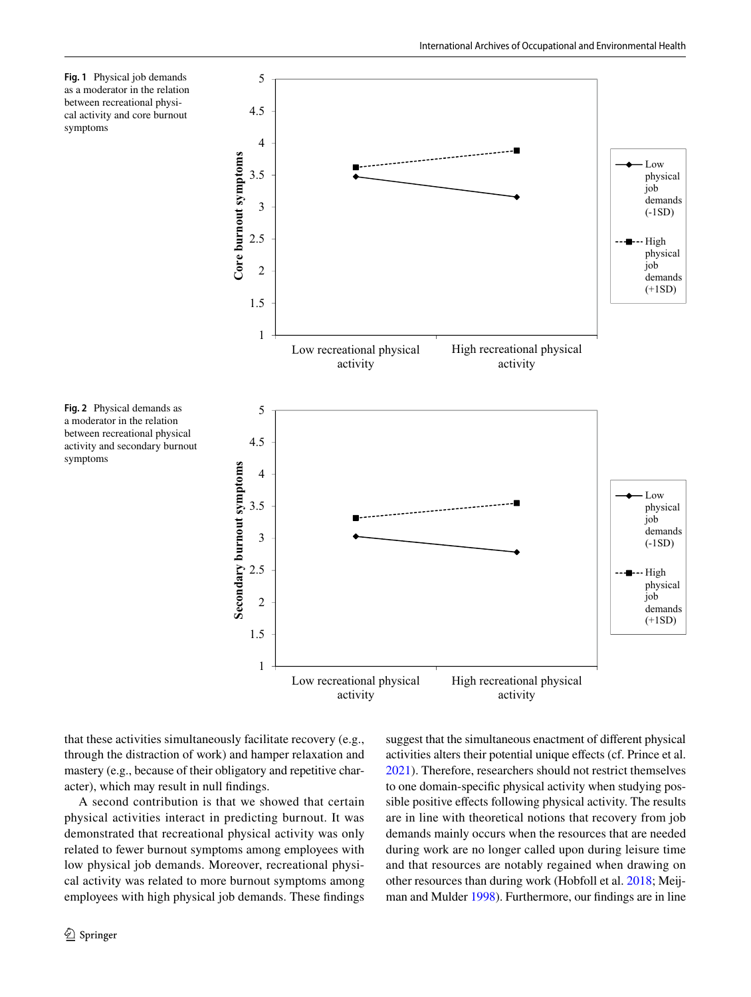<span id="page-9-0"></span>



<span id="page-9-1"></span>**Fig. 2** Physical demands as a moderator in the relation between recreational physical activity and secondary burnout symptoms

that these activities simultaneously facilitate recovery (e.g., through the distraction of work) and hamper relaxation and mastery (e.g., because of their obligatory and repetitive character), which may result in null fndings.

A second contribution is that we showed that certain physical activities interact in predicting burnout. It was demonstrated that recreational physical activity was only related to fewer burnout symptoms among employees with low physical job demands. Moreover, recreational physical activity was related to more burnout symptoms among employees with high physical job demands. These fndings suggest that the simultaneous enactment of diferent physical activities alters their potential unique efects (cf. Prince et al. [2021](#page-14-24)). Therefore, researchers should not restrict themselves to one domain-specifc physical activity when studying possible positive efects following physical activity. The results are in line with theoretical notions that recovery from job demands mainly occurs when the resources that are needed during work are no longer called upon during leisure time and that resources are notably regained when drawing on other resources than during work (Hobfoll et al. [2018](#page-13-7); Meijman and Mulder [1998](#page-13-8)). Furthermore, our fndings are in line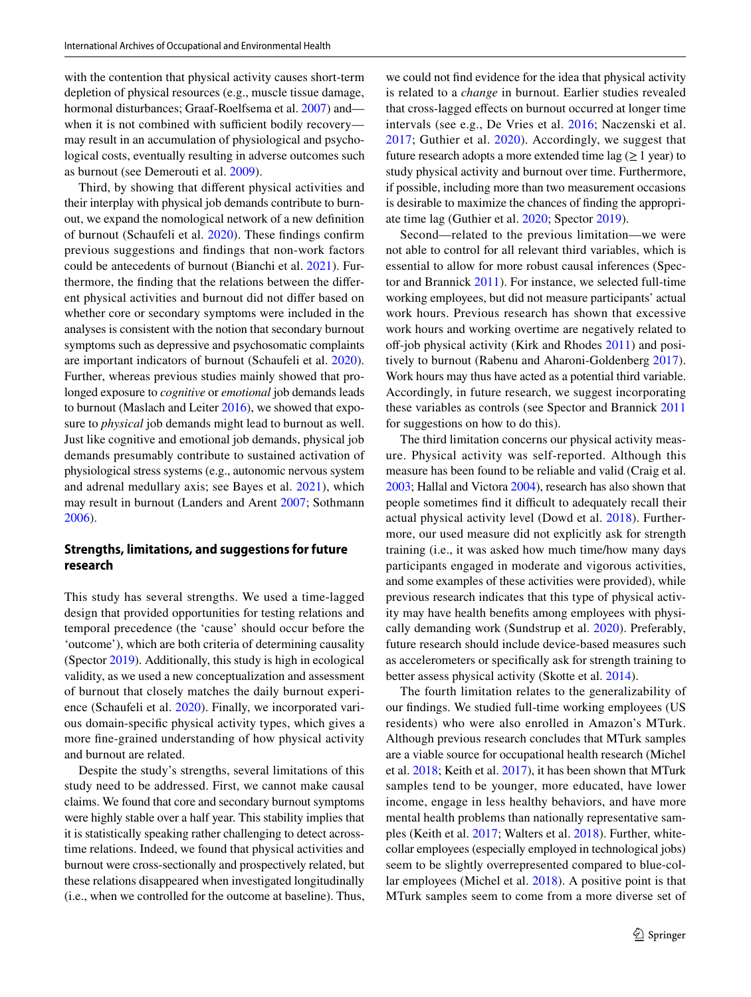with the contention that physical activity causes short-term depletion of physical resources (e.g., muscle tissue damage, hormonal disturbances; Graaf-Roelfsema et al. [2007](#page-13-21)) and when it is not combined with sufficient bodily recovery may result in an accumulation of physiological and psychological costs, eventually resulting in adverse outcomes such as burnout (see Demerouti et al. [2009](#page-12-12)).

Third, by showing that diferent physical activities and their interplay with physical job demands contribute to burnout, we expand the nomological network of a new defnition of burnout (Schaufeli et al. [2020](#page-14-0)). These fndings confrm previous suggestions and fndings that non-work factors could be antecedents of burnout (Bianchi et al. [2021](#page-12-27)). Furthermore, the fnding that the relations between the diferent physical activities and burnout did not difer based on whether core or secondary symptoms were included in the analyses is consistent with the notion that secondary burnout symptoms such as depressive and psychosomatic complaints are important indicators of burnout (Schaufeli et al. [2020](#page-14-0)). Further, whereas previous studies mainly showed that prolonged exposure to *cognitive* or *emotional* job demands leads to burnout (Maslach and Leiter [2016\)](#page-13-1), we showed that exposure to *physical* job demands might lead to burnout as well. Just like cognitive and emotional job demands, physical job demands presumably contribute to sustained activation of physiological stress systems (e.g., autonomic nervous system and adrenal medullary axis; see Bayes et al. [2021\)](#page-12-8), which may result in burnout (Landers and Arent [2007;](#page-13-16) Sothmann [2006](#page-14-16)).

## **Strengths, limitations, and suggestions for future research**

This study has several strengths. We used a time-lagged design that provided opportunities for testing relations and temporal precedence (the 'cause' should occur before the 'outcome'), which are both criteria of determining causality (Spector [2019\)](#page-14-4). Additionally, this study is high in ecological validity, as we used a new conceptualization and assessment of burnout that closely matches the daily burnout experience (Schaufeli et al. [2020](#page-14-0)). Finally, we incorporated various domain-specifc physical activity types, which gives a more fne-grained understanding of how physical activity and burnout are related.

Despite the study's strengths, several limitations of this study need to be addressed. First, we cannot make causal claims. We found that core and secondary burnout symptoms were highly stable over a half year. This stability implies that it is statistically speaking rather challenging to detect acrosstime relations. Indeed, we found that physical activities and burnout were cross-sectionally and prospectively related, but these relations disappeared when investigated longitudinally (i.e., when we controlled for the outcome at baseline). Thus,

we could not fnd evidence for the idea that physical activity is related to a *change* in burnout. Earlier studies revealed that cross-lagged efects on burnout occurred at longer time intervals (see e.g., De Vries et al. [2016](#page-12-28); Naczenski et al. [2017;](#page-13-4) Guthier et al. [2020\)](#page-13-10). Accordingly, we suggest that future research adopts a more extended time lag ( $\geq 1$  year) to study physical activity and burnout over time. Furthermore, if possible, including more than two measurement occasions is desirable to maximize the chances of fnding the appropriate time lag (Guthier et al. [2020;](#page-13-10) Spector [2019](#page-14-4)).

Second—related to the previous limitation—we were not able to control for all relevant third variables, which is essential to allow for more robust causal inferences (Spector and Brannick [2011](#page-14-27)). For instance, we selected full-time working employees, but did not measure participants' actual work hours. Previous research has shown that excessive work hours and working overtime are negatively related to off-job physical activity (Kirk and Rhodes  $2011$ ) and positively to burnout (Rabenu and Aharoni-Goldenberg [2017](#page-14-28)). Work hours may thus have acted as a potential third variable. Accordingly, in future research, we suggest incorporating these variables as controls (see Spector and Brannick [2011](#page-14-27) for suggestions on how to do this).

The third limitation concerns our physical activity measure. Physical activity was self-reported. Although this measure has been found to be reliable and valid (Craig et al. [2003;](#page-12-24) Hallal and Victora [2004](#page-13-28)), research has also shown that people sometimes find it difficult to adequately recall their actual physical activity level (Dowd et al. [2018\)](#page-12-29). Furthermore, our used measure did not explicitly ask for strength training (i.e., it was asked how much time/how many days participants engaged in moderate and vigorous activities, and some examples of these activities were provided), while previous research indicates that this type of physical activity may have health benefts among employees with physically demanding work (Sundstrup et al. [2020](#page-14-29)). Preferably, future research should include device-based measures such as accelerometers or specifcally ask for strength training to better assess physical activity (Skotte et al. [2014\)](#page-14-30).

The fourth limitation relates to the generalizability of our fndings. We studied full-time working employees (US residents) who were also enrolled in Amazon's MTurk. Although previous research concludes that MTurk samples are a viable source for occupational health research (Michel et al. [2018](#page-13-32); Keith et al. [2017](#page-13-33)), it has been shown that MTurk samples tend to be younger, more educated, have lower income, engage in less healthy behaviors, and have more mental health problems than nationally representative samples (Keith et al. [2017;](#page-13-33) Walters et al. [2018](#page-14-31)). Further, whitecollar employees (especially employed in technological jobs) seem to be slightly overrepresented compared to blue-collar employees (Michel et al. [2018\)](#page-13-32). A positive point is that MTurk samples seem to come from a more diverse set of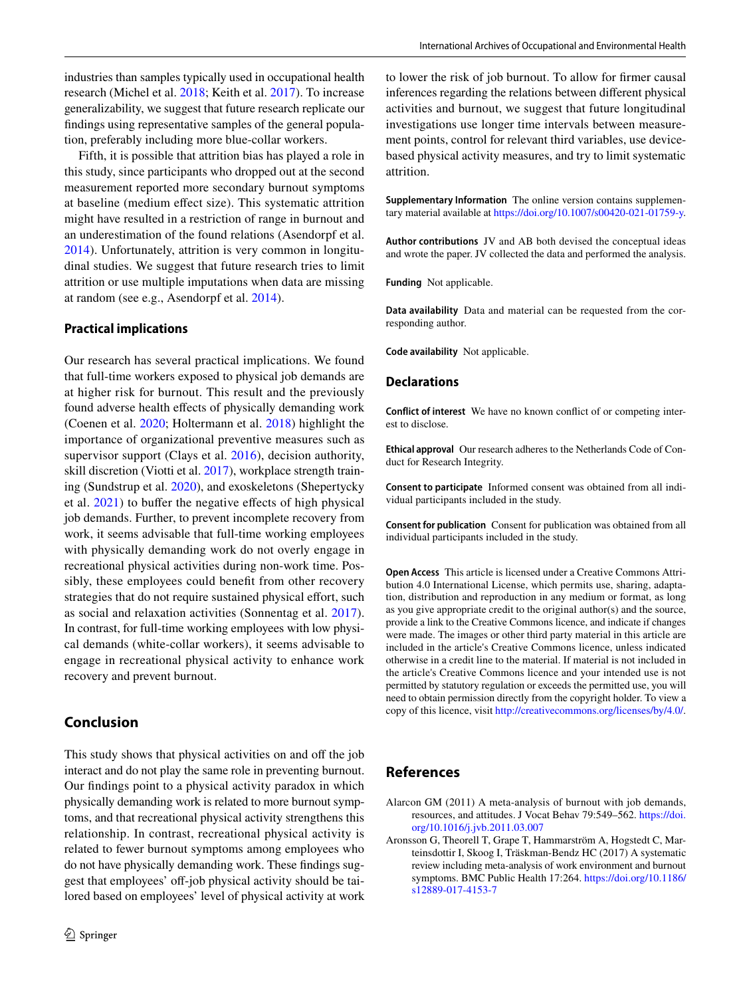industries than samples typically used in occupational health research (Michel et al. [2018;](#page-13-32) Keith et al. [2017\)](#page-13-33). To increase generalizability, we suggest that future research replicate our fndings using representative samples of the general population, preferably including more blue-collar workers.

Fifth, it is possible that attrition bias has played a role in this study, since participants who dropped out at the second measurement reported more secondary burnout symptoms at baseline (medium efect size). This systematic attrition might have resulted in a restriction of range in burnout and an underestimation of the found relations (Asendorpf et al. [2014](#page-12-30)). Unfortunately, attrition is very common in longitudinal studies. We suggest that future research tries to limit attrition or use multiple imputations when data are missing at random (see e.g., Asendorpf et al. [2014\)](#page-12-30).

### **Practical implications**

Our research has several practical implications. We found that full-time workers exposed to physical job demands are at higher risk for burnout. This result and the previously found adverse health effects of physically demanding work (Coenen et al. [2020](#page-12-4); Holtermann et al. [2018](#page-13-6)) highlight the importance of organizational preventive measures such as supervisor support (Clays et al. [2016\)](#page-12-31), decision authority, skill discretion (Viotti et al. [2017\)](#page-14-32), workplace strength training (Sundstrup et al. [2020\)](#page-14-29), and exoskeletons (Shepertycky et al.  $2021$ ) to buffer the negative effects of high physical job demands. Further, to prevent incomplete recovery from work, it seems advisable that full-time working employees with physically demanding work do not overly engage in recreational physical activities during non-work time. Possibly, these employees could beneft from other recovery strategies that do not require sustained physical effort, such as social and relaxation activities (Sonnentag et al. [2017](#page-14-34)). In contrast, for full-time working employees with low physical demands (white-collar workers), it seems advisable to engage in recreational physical activity to enhance work recovery and prevent burnout.

# **Conclusion**

This study shows that physical activities on and off the job interact and do not play the same role in preventing burnout. Our fndings point to a physical activity paradox in which physically demanding work is related to more burnout symptoms, and that recreational physical activity strengthens this relationship. In contrast, recreational physical activity is related to fewer burnout symptoms among employees who do not have physically demanding work. These fndings suggest that employees' off-job physical activity should be tailored based on employees' level of physical activity at work to lower the risk of job burnout. To allow for frmer causal inferences regarding the relations between diferent physical activities and burnout, we suggest that future longitudinal investigations use longer time intervals between measurement points, control for relevant third variables, use devicebased physical activity measures, and try to limit systematic attrition.

**Supplementary Information** The online version contains supplementary material available at <https://doi.org/10.1007/s00420-021-01759-y>.

**Author contributions** JV and AB both devised the conceptual ideas and wrote the paper. JV collected the data and performed the analysis.

**Funding** Not applicable.

**Data availability** Data and material can be requested from the corresponding author.

**Code availability** Not applicable.

#### **Declarations**

**Conflict of interest** We have no known confict of or competing interest to disclose.

**Ethical approval** Our research adheres to the Netherlands Code of Conduct for Research Integrity.

**Consent to participate** Informed consent was obtained from all individual participants included in the study.

**Consent for publication** Consent for publication was obtained from all individual participants included in the study.

**Open Access** This article is licensed under a Creative Commons Attribution 4.0 International License, which permits use, sharing, adaptation, distribution and reproduction in any medium or format, as long as you give appropriate credit to the original author(s) and the source, provide a link to the Creative Commons licence, and indicate if changes were made. The images or other third party material in this article are included in the article's Creative Commons licence, unless indicated otherwise in a credit line to the material. If material is not included in the article's Creative Commons licence and your intended use is not permitted by statutory regulation or exceeds the permitted use, you will need to obtain permission directly from the copyright holder. To view a copy of this licence, visit<http://creativecommons.org/licenses/by/4.0/>.

## **References**

- <span id="page-11-0"></span>Alarcon GM (2011) A meta-analysis of burnout with job demands, resources, and attitudes. J Vocat Behav 79:549–562. [https://doi.](https://doi.org/10.1016/j.jvb.2011.03.007) [org/10.1016/j.jvb.2011.03.007](https://doi.org/10.1016/j.jvb.2011.03.007)
- <span id="page-11-1"></span>Aronsson G, Theorell T, Grape T, Hammarström A, Hogstedt C, Marteinsdottir I, Skoog I, Träskman-Bendz HC (2017) A systematic review including meta-analysis of work environment and burnout symptoms. BMC Public Health 17:264. [https://doi.org/10.1186/](https://doi.org/10.1186/s12889-017-4153-7) [s12889-017-4153-7](https://doi.org/10.1186/s12889-017-4153-7)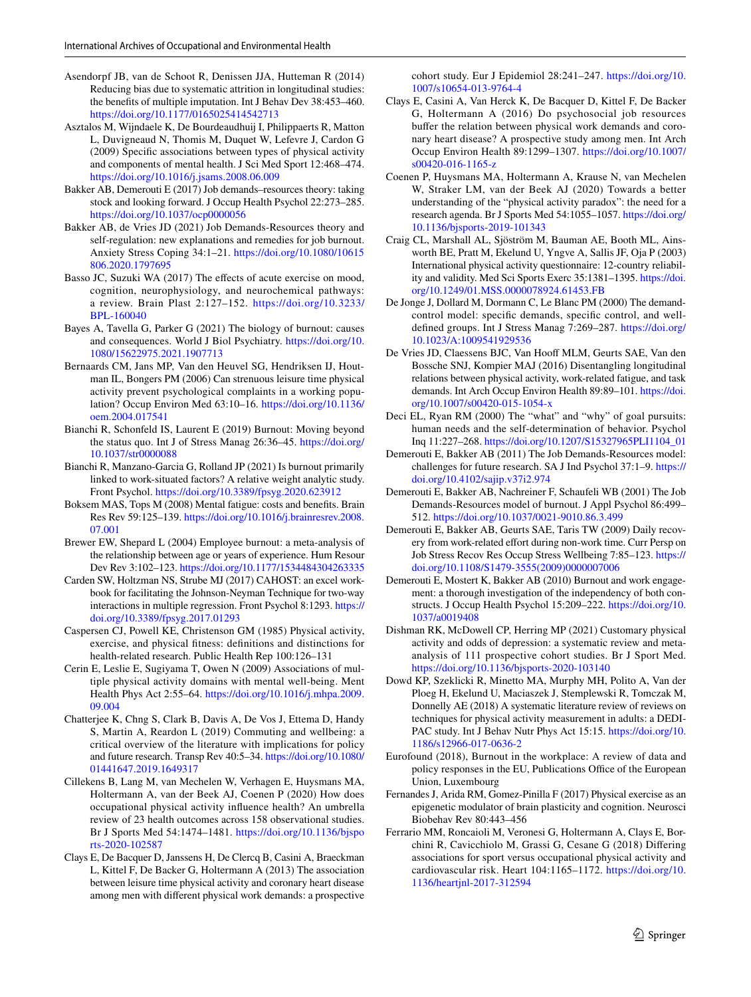- <span id="page-12-30"></span>Asendorpf JB, van de Schoot R, Denissen JJA, Hutteman R (2014) Reducing bias due to systematic attrition in longitudinal studies: the benefts of multiple imputation. Int J Behav Dev 38:453–460. <https://doi.org/10.1177/0165025414542713>
- <span id="page-12-19"></span>Asztalos M, Wijndaele K, De Bourdeaudhuij I, Philippaerts R, Matton L, Duvigneaud N, Thomis M, Duquet W, Lefevre J, Cardon G (2009) Specifc associations between types of physical activity and components of mental health. J Sci Med Sport 12:468–474. <https://doi.org/10.1016/j.jsams.2008.06.009>
- <span id="page-12-2"></span>Bakker AB, Demerouti E (2017) Job demands–resources theory: taking stock and looking forward. J Occup Health Psychol 22:273–285. <https://doi.org/10.1037/ocp0000056>
- <span id="page-12-3"></span>Bakker AB, de Vries JD (2021) Job Demands-Resources theory and self-regulation: new explanations and remedies for job burnout. Anxiety Stress Coping 34:1–21. [https://doi.org/10.1080/10615](https://doi.org/10.1080/10615806.2020.1797695) [806.2020.1797695](https://doi.org/10.1080/10615806.2020.1797695)
- <span id="page-12-16"></span>Basso JC, Suzuki WA (2017) The effects of acute exercise on mood, cognition, neurophysiology, and neurochemical pathways: a review. Brain Plast 2:127–152. [https://doi.org/10.3233/](https://doi.org/10.3233/BPL-160040) [BPL-160040](https://doi.org/10.3233/BPL-160040)
- <span id="page-12-8"></span>Bayes A, Tavella G, Parker G (2021) The biology of burnout: causes and consequences. World J Biol Psychiatry. [https://doi.org/10.](https://doi.org/10.1080/15622975.2021.1907713) [1080/15622975.2021.1907713](https://doi.org/10.1080/15622975.2021.1907713)
- <span id="page-12-23"></span>Bernaards CM, Jans MP, Van den Heuvel SG, Hendriksen IJ, Houtman IL, Bongers PM (2006) Can strenuous leisure time physical activity prevent psychological complaints in a working population? Occup Environ Med 63:10–16. [https://doi.org/10.1136/](https://doi.org/10.1136/oem.2004.017541) [oem.2004.017541](https://doi.org/10.1136/oem.2004.017541)
- <span id="page-12-1"></span>Bianchi R, Schonfeld IS, Laurent E (2019) Burnout: Moving beyond the status quo. Int J of Stress Manag 26:36–45. [https://doi.org/](https://doi.org/10.1037/str0000088) [10.1037/str0000088](https://doi.org/10.1037/str0000088)
- <span id="page-12-27"></span>Bianchi R, Manzano-Garcia G, Rolland JP (2021) Is burnout primarily linked to work-situated factors? A relative weight analytic study. Front Psychol.<https://doi.org/10.3389/fpsyg.2020.623912>
- <span id="page-12-9"></span>Boksem MAS, Tops M (2008) Mental fatigue: costs and benefts. Brain Res Rev 59:125–139. [https://doi.org/10.1016/j.brainresrev.2008.](https://doi.org/10.1016/j.brainresrev.2008.07.001) [07.001](https://doi.org/10.1016/j.brainresrev.2008.07.001)
- <span id="page-12-25"></span>Brewer EW, Shepard L (2004) Employee burnout: a meta-analysis of the relationship between age or years of experience. Hum Resour Dev Rev 3:102–123. <https://doi.org/10.1177/1534484304263335>
- <span id="page-12-26"></span>Carden SW, Holtzman NS, Strube MJ (2017) CAHOST: an excel workbook for facilitating the Johnson-Neyman Technique for two-way interactions in multiple regression. Front Psychol 8:1293. [https://](https://doi.org/10.3389/fpsyg.2017.01293) [doi.org/10.3389/fpsyg.2017.01293](https://doi.org/10.3389/fpsyg.2017.01293)
- <span id="page-12-13"></span>Caspersen CJ, Powell KE, Christenson GM (1985) Physical activity, exercise, and physical ftness: defnitions and distinctions for health-related research. Public Health Rep 100:126–131
- <span id="page-12-20"></span>Cerin E, Leslie E, Sugiyama T, Owen N (2009) Associations of multiple physical activity domains with mental well-being. Ment Health Phys Act 2:55–64. [https://doi.org/10.1016/j.mhpa.2009.](https://doi.org/10.1016/j.mhpa.2009.09.004) [09.004](https://doi.org/10.1016/j.mhpa.2009.09.004)
- <span id="page-12-14"></span>Chatterjee K, Chng S, Clark B, Davis A, De Vos J, Ettema D, Handy S, Martin A, Reardon L (2019) Commuting and wellbeing: a critical overview of the literature with implications for policy and future research. Transp Rev 40:5–34. [https://doi.org/10.1080/](https://doi.org/10.1080/01441647.2019.1649317) [01441647.2019.1649317](https://doi.org/10.1080/01441647.2019.1649317)
- <span id="page-12-10"></span>Cillekens B, Lang M, van Mechelen W, Verhagen E, Huysmans MA, Holtermann A, van der Beek AJ, Coenen P (2020) How does occupational physical activity infuence health? An umbrella review of 23 health outcomes across 158 observational studies. Br J Sports Med 54:1474–1481. [https://doi.org/10.1136/bjspo](https://doi.org/10.1136/bjsports-2020-102587) [rts-2020-102587](https://doi.org/10.1136/bjsports-2020-102587)
- <span id="page-12-21"></span>Clays E, De Bacquer D, Janssens H, De Clercq B, Casini A, Braeckman L, Kittel F, De Backer G, Holtermann A (2013) The association between leisure time physical activity and coronary heart disease among men with diferent physical work demands: a prospective

cohort study. Eur J Epidemiol 28:241–247. [https://doi.org/10.](https://doi.org/10.1007/s10654-013-9764-4) [1007/s10654-013-9764-4](https://doi.org/10.1007/s10654-013-9764-4)

- <span id="page-12-31"></span>Clays E, Casini A, Van Herck K, De Bacquer D, Kittel F, De Backer G, Holtermann A (2016) Do psychosocial job resources buffer the relation between physical work demands and coronary heart disease? A prospective study among men. Int Arch Occup Environ Health 89:1299–1307. [https://doi.org/10.1007/](https://doi.org/10.1007/s00420-016-1165-z) [s00420-016-1165-z](https://doi.org/10.1007/s00420-016-1165-z)
- <span id="page-12-4"></span>Coenen P, Huysmans MA, Holtermann A, Krause N, van Mechelen W, Straker LM, van der Beek AJ (2020) Towards a better understanding of the "physical activity paradox": the need for a research agenda. Br J Sports Med 54:1055–1057. [https://doi.org/](https://doi.org/10.1136/bjsports-2019-101343) [10.1136/bjsports-2019-101343](https://doi.org/10.1136/bjsports-2019-101343)
- <span id="page-12-24"></span>Craig CL, Marshall AL, Sjöström M, Bauman AE, Booth ML, Ainsworth BE, Pratt M, Ekelund U, Yngve A, Sallis JF, Oja P (2003) International physical activity questionnaire: 12-country reliability and validity. Med Sci Sports Exerc 35:1381–1395. [https://doi.](https://doi.org/10.1249/01.MSS.0000078924.61453.FB) [org/10.1249/01.MSS.0000078924.61453.FB](https://doi.org/10.1249/01.MSS.0000078924.61453.FB)
- <span id="page-12-11"></span>De Jonge J, Dollard M, Dormann C, Le Blanc PM (2000) The demandcontrol model: specifc demands, specifc control, and welldefned groups. Int J Stress Manag 7:269–287. [https://doi.org/](https://doi.org/https://doi.org/10.1023/A:1009541929536) [10.1023/A:1009541929536](https://doi.org/https://doi.org/10.1023/A:1009541929536)
- <span id="page-12-28"></span>De Vries JD, Claessens BJC, Van Hooff MLM, Geurts SAE, Van den Bossche SNJ, Kompier MAJ (2016) Disentangling longitudinal relations between physical activity, work-related fatigue, and task demands. Int Arch Occup Environ Health 89:89–101. [https://doi.](https://doi.org/10.1007/s00420-015-1054-x) [org/10.1007/s00420-015-1054-x](https://doi.org/10.1007/s00420-015-1054-x)
- <span id="page-12-18"></span>Deci EL, Ryan RM (2000) The "what" and "why" of goal pursuits: human needs and the self-determination of behavior. Psychol Inq 11:227–268. [https://doi.org/10.1207/S15327965PLI1104\\_01](https://doi.org/10.1207/S15327965PLI1104_01)
- <span id="page-12-7"></span>Demerouti E, Bakker AB (2011) The Job Demands-Resources model: challenges for future research. SA J Ind Psychol 37:1–9. [https://](https://doi.org/10.4102/sajip.v37i2.974) [doi.org/10.4102/sajip.v37i2.974](https://doi.org/10.4102/sajip.v37i2.974)
- <span id="page-12-5"></span>Demerouti E, Bakker AB, Nachreiner F, Schaufeli WB (2001) The Job Demands-Resources model of burnout. J Appl Psychol 86:499– 512. <https://doi.org/10.1037/0021-9010.86.3.499>
- <span id="page-12-12"></span>Demerouti E, Bakker AB, Geurts SAE, Taris TW (2009) Daily recovery from work-related effort during non-work time. Curr Persp on Job Stress Recov Res Occup Stress Wellbeing 7:85–123. [https://](https://doi.org/10.1108/S1479-3555(2009)0000007006) [doi.org/10.1108/S1479-3555\(2009\)0000007006](https://doi.org/10.1108/S1479-3555(2009)0000007006)
- <span id="page-12-6"></span>Demerouti E, Mostert K, Bakker AB (2010) Burnout and work engagement: a thorough investigation of the independency of both constructs. J Occup Health Psychol 15:209–222. [https://doi.org/10.](https://doi.org/10.1037/a0019408) [1037/a0019408](https://doi.org/10.1037/a0019408)
- <span id="page-12-17"></span>Dishman RK, McDowell CP, Herring MP (2021) Customary physical activity and odds of depression: a systematic review and metaanalysis of 111 prospective cohort studies. Br J Sport Med. <https://doi.org/10.1136/bjsports-2020-103140>
- <span id="page-12-29"></span>Dowd KP, Szeklicki R, Minetto MA, Murphy MH, Polito A, Van der Ploeg H, Ekelund U, Maciaszek J, Stemplewski R, Tomczak M, Donnelly AE (2018) A systematic literature review of reviews on techniques for physical activity measurement in adults: a DEDI-PAC study. Int J Behav Nutr Phys Act 15:15. [https://doi.org/10.](https://doi.org/10.1186/s12966-017-0636-2) [1186/s12966-017-0636-2](https://doi.org/10.1186/s12966-017-0636-2)
- <span id="page-12-0"></span>Eurofound (2018), Burnout in the workplace: A review of data and policy responses in the EU, Publications Office of the European Union, Luxembourg
- <span id="page-12-15"></span>Fernandes J, Arida RM, Gomez-Pinilla F (2017) Physical exercise as an epigenetic modulator of brain plasticity and cognition. Neurosci Biobehav Rev 80:443–456
- <span id="page-12-22"></span>Ferrario MM, Roncaioli M, Veronesi G, Holtermann A, Clays E, Borchini R, Cavicchiolo M, Grassi G, Cesane G (2018) Difering associations for sport versus occupational physical activity and cardiovascular risk. Heart 104:1165–1172. [https://doi.org/10.](https://doi.org/10.1136/heartjnl-2017-312594) [1136/heartjnl-2017-312594](https://doi.org/10.1136/heartjnl-2017-312594)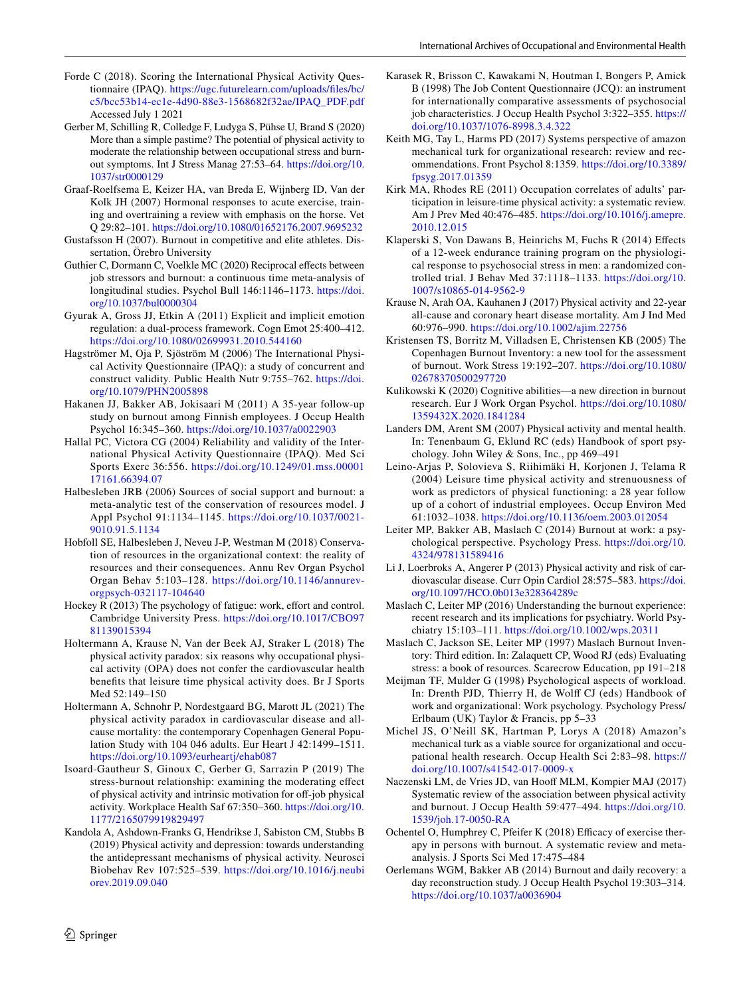- <span id="page-13-27"></span>Forde C (2018). Scoring the International Physical Activity Questionnaire (IPAQ). [https://ugc.futurelearn.com/uploads/fles/bc/](https://ugc.futurelearn.com/uploads/files/bc/c5/bcc53b14-ec1e-4d90-88e3-1568682f32ae/IPAQ_PDF.pdf) [c5/bcc53b14-ec1e-4d90-88e3-1568682f32ae/IPAQ\\_PDF.pdf](https://ugc.futurelearn.com/uploads/files/bc/c5/bcc53b14-ec1e-4d90-88e3-1568682f32ae/IPAQ_PDF.pdf) Accessed July 1 2021
- <span id="page-13-3"></span>Gerber M, Schilling R, Colledge F, Ludyga S, Pühse U, Brand S (2020) More than a simple pastime? The potential of physical activity to moderate the relationship between occupational stress and burnout symptoms. Int J Stress Manag 27:53–64. [https://doi.org/10.](https://doi.org/10.1037/str0000129) [1037/str0000129](https://doi.org/10.1037/str0000129)
- <span id="page-13-21"></span>Graaf-Roelfsema E, Keizer HA, van Breda E, Wijnberg ID, Van der Kolk JH (2007) Hormonal responses to acute exercise, training and overtraining a review with emphasis on the horse. Vet Q 29:82–101. <https://doi.org/10.1080/01652176.2007.9695232>
- <span id="page-13-25"></span>Gustafsson H (2007). Burnout in competitive and elite athletes. Dissertation, Örebro University
- <span id="page-13-10"></span>Guthier C, Dormann C, Voelkle MC (2020) Reciprocal effects between job stressors and burnout: a continuous time meta-analysis of longitudinal studies. Psychol Bull 146:1146–1173. [https://doi.](https://doi.org/10.1037/bul0000304) [org/10.1037/bul0000304](https://doi.org/10.1037/bul0000304)
- <span id="page-13-13"></span>Gyurak A, Gross JJ, Etkin A (2011) Explicit and implicit emotion regulation: a dual-process framework. Cogn Emot 25:400–412. <https://doi.org/10.1080/02699931.2010.544160>
- <span id="page-13-26"></span>Hagströmer M, Oja P, Sjöström M (2006) The International Physical Activity Questionnaire (IPAQ): a study of concurrent and construct validity. Public Health Nutr 9:755–762. [https://doi.](https://doi.org/10.1079/PHN2005898) [org/10.1079/PHN2005898](https://doi.org/10.1079/PHN2005898)
- <span id="page-13-30"></span>Hakanen JJ, Bakker AB, Jokisaari M (2011) A 35-year follow-up study on burnout among Finnish employees. J Occup Health Psychol 16:345–360.<https://doi.org/10.1037/a0022903>
- <span id="page-13-28"></span>Hallal PC, Victora CG (2004) Reliability and validity of the International Physical Activity Questionnaire (IPAQ). Med Sci Sports Exerc 36:556. [https://doi.org/10.1249/01.mss.00001](https://doi.org/10.1249/01.mss.0000117161.66394.07) [17161.66394.07](https://doi.org/10.1249/01.mss.0000117161.66394.07)
- <span id="page-13-18"></span>Halbesleben JRB (2006) Sources of social support and burnout: a meta-analytic test of the conservation of resources model. J Appl Psychol 91:1134–1145. [https://doi.org/10.1037/0021-](https://doi.org/10.1037/0021-9010.91.5.1134) [9010.91.5.1134](https://doi.org/10.1037/0021-9010.91.5.1134)
- <span id="page-13-7"></span>Hobfoll SE, Halbesleben J, Neveu J-P, Westman M (2018) Conservation of resources in the organizational context: the reality of resources and their consequences. Annu Rev Organ Psychol Organ Behav 5:103–128. [https://doi.org/10.1146/annurev](https://doi.org/10.1146/annurev-orgpsych-032117-104640)[orgpsych-032117-104640](https://doi.org/10.1146/annurev-orgpsych-032117-104640)
- <span id="page-13-14"></span>Hockey R (2013) The psychology of fatigue: work, effort and control. Cambridge University Press. [https://doi.org/10.1017/CBO97](https://doi.org/10.1017/CBO9781139015394) [81139015394](https://doi.org/10.1017/CBO9781139015394)
- <span id="page-13-6"></span>Holtermann A, Krause N, Van der Beek AJ, Straker L (2018) The physical activity paradox: six reasons why occupational physical activity (OPA) does not confer the cardiovascular health benefts that leisure time physical activity does. Br J Sports Med 52:149–150
- <span id="page-13-22"></span>Holtermann A, Schnohr P, Nordestgaard BG, Marott JL (2021) The physical activity paradox in cardiovascular disease and allcause mortality: the contemporary Copenhagen General Population Study with 104 046 adults. Eur Heart J 42:1499–1511. <https://doi.org/10.1093/eurheartj/ehab087>
- <span id="page-13-20"></span>Isoard-Gautheur S, Ginoux C, Gerber G, Sarrazin P (2019) The stress-burnout relationship: examining the moderating efect of physical activity and intrinsic motivation for off-job physical activity. Workplace Health Saf 67:350–360. [https://doi.org/10.](https://doi.org/10.1177/2165079919829497) [1177/2165079919829497](https://doi.org/10.1177/2165079919829497)
- <span id="page-13-19"></span>Kandola A, Ashdown-Franks G, Hendrikse J, Sabiston CM, Stubbs B (2019) Physical activity and depression: towards understanding the antidepressant mechanisms of physical activity. Neurosci Biobehav Rev 107:525–539. [https://doi.org/10.1016/j.neubi](https://doi.org/10.1016/j.neubiorev.2019.09.040) [orev.2019.09.040](https://doi.org/10.1016/j.neubiorev.2019.09.040)
- <span id="page-13-29"></span>Karasek R, Brisson C, Kawakami N, Houtman I, Bongers P, Amick B (1998) The Job Content Questionnaire (JCQ): an instrument for internationally comparative assessments of psychosocial job characteristics. J Occup Health Psychol 3:322–355. [https://](https://doi.org/10.1037/1076-8998.3.4.322) [doi.org/10.1037/1076-8998.3.4.322](https://doi.org/10.1037/1076-8998.3.4.322)
- <span id="page-13-33"></span>Keith MG, Tay L, Harms PD (2017) Systems perspective of amazon mechanical turk for organizational research: review and recommendations. Front Psychol 8:1359. [https://doi.org/10.3389/](https://doi.org/10.3389/fpsyg.2017.01359) [fpsyg.2017.01359](https://doi.org/10.3389/fpsyg.2017.01359)
- <span id="page-13-31"></span>Kirk MA, Rhodes RE (2011) Occupation correlates of adults' participation in leisure-time physical activity: a systematic review. Am J Prev Med 40:476–485. [https://doi.org/10.1016/j.amepre.](https://doi.org/10.1016/j.amepre.2010.12.015) [2010.12.015](https://doi.org/10.1016/j.amepre.2010.12.015)
- <span id="page-13-15"></span>Klaperski S, Von Dawans B, Heinrichs M, Fuchs R (2014) Efects of a 12-week endurance training program on the physiological response to psychosocial stress in men: a randomized controlled trial. J Behav Med 37:1118–1133. [https://doi.org/10.](https://doi.org/10.1007/s10865-014-9562-9) [1007/s10865-014-9562-9](https://doi.org/10.1007/s10865-014-9562-9)
- <span id="page-13-23"></span>Krause N, Arah OA, Kauhanen J (2017) Physical activity and 22-year all-cause and coronary heart disease mortality. Am J Ind Med 60:976–990.<https://doi.org/10.1002/ajim.22756>
- <span id="page-13-2"></span>Kristensen TS, Borritz M, Villadsen E, Christensen KB (2005) The Copenhagen Burnout Inventory: a new tool for the assessment of burnout. Work Stress 19:192–207. [https://doi.org/10.1080/](https://doi.org/10.1080/02678370500297720) [02678370500297720](https://doi.org/10.1080/02678370500297720)
- <span id="page-13-17"></span>Kulikowski K (2020) Cognitive abilities—a new direction in burnout research. Eur J Work Organ Psychol. [https://doi.org/10.1080/](https://doi.org/10.1080/1359432X.2020.1841284) [1359432X.2020.1841284](https://doi.org/10.1080/1359432X.2020.1841284)
- <span id="page-13-16"></span>Landers DM, Arent SM (2007) Physical activity and mental health. In: Tenenbaum G, Eklund RC (eds) Handbook of sport psychology. John Wiley & Sons, Inc., pp 469–491
- <span id="page-13-24"></span>Leino-Arjas P, Solovieva S, Riihimäki H, Korjonen J, Telama R (2004) Leisure time physical activity and strenuousness of work as predictors of physical functioning: a 28 year follow up of a cohort of industrial employees. Occup Environ Med 61:1032–1038.<https://doi.org/10.1136/oem.2003.012054>
- <span id="page-13-0"></span>Leiter MP, Bakker AB, Maslach C (2014) Burnout at work: a psychological perspective. Psychology Press. [https://doi.org/10.](https://doi.org/10.4324/978131589416) [4324/978131589416](https://doi.org/10.4324/978131589416)
- <span id="page-13-12"></span>Li J, Loerbroks A, Angerer P (2013) Physical activity and risk of cardiovascular disease. Curr Opin Cardiol 28:575–583. [https://doi.](https://doi.org/10.1097/HCO.0b013e328364289c) [org/10.1097/HCO.0b013e328364289c](https://doi.org/10.1097/HCO.0b013e328364289c)
- <span id="page-13-1"></span>Maslach C, Leiter MP (2016) Understanding the burnout experience: recent research and its implications for psychiatry. World Psychiatry 15:103–111.<https://doi.org/10.1002/wps.20311>
- <span id="page-13-9"></span>Maslach C, Jackson SE, Leiter MP (1997) Maslach Burnout Inventory: Third edition. In: Zalaquett CP, Wood RJ (eds) Evaluating stress: a book of resources. Scarecrow Education, pp 191–218
- <span id="page-13-8"></span>Meijman TF, Mulder G (1998) Psychological aspects of workload. In: Drenth PJD, Thierry H, de Wolf CJ (eds) Handbook of work and organizational: Work psychology. Psychology Press/ Erlbaum (UK) Taylor & Francis, pp 5–33
- <span id="page-13-32"></span>Michel JS, O'Neill SK, Hartman P, Lorys A (2018) Amazon's mechanical turk as a viable source for organizational and occupational health research. Occup Health Sci 2:83–98. [https://](https://doi.org/10.1007/s41542-017-0009-x) [doi.org/10.1007/s41542-017-0009-x](https://doi.org/10.1007/s41542-017-0009-x)
- <span id="page-13-4"></span>Naczenski LM, de Vries JD, van Hooff MLM, Kompier MAJ (2017) Systematic review of the association between physical activity and burnout. J Occup Health 59:477–494. [https://doi.org/10.](https://doi.org/10.1539/joh.17-0050-RA) [1539/joh.17-0050-RA](https://doi.org/10.1539/joh.17-0050-RA)
- <span id="page-13-5"></span>Ochentel O, Humphrey C, Pfeifer K (2018) Efficacy of exercise therapy in persons with burnout. A systematic review and metaanalysis. J Sports Sci Med 17:475–484
- <span id="page-13-11"></span>Oerlemans WGM, Bakker AB (2014) Burnout and daily recovery: a day reconstruction study. J Occup Health Psychol 19:303–314. <https://doi.org/10.1037/a0036904>